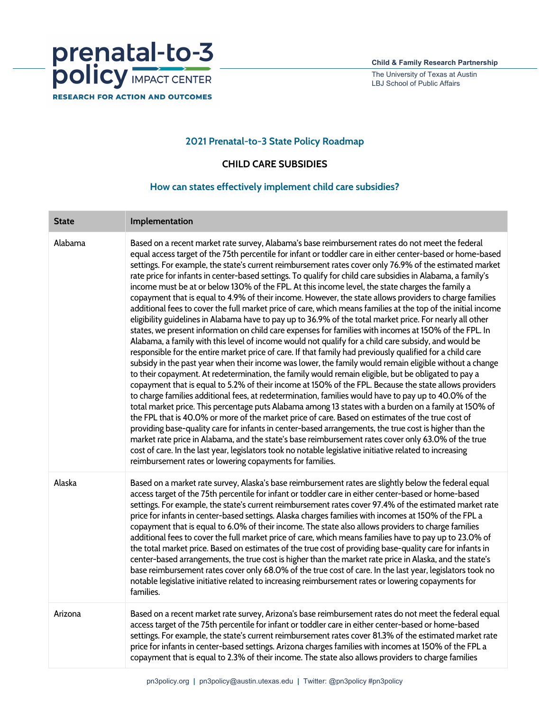

The University of Texas at Austin LBJ School of Public Affairs

## **2021 Prenatal-to-3 State Policy Roadmap**

**CHILD CARE SUBSIDIES** 

## **How can states effectively implement child care subsidies?**

| <b>State</b> | Implementation                                                                                                                                                                                                                                                                                                                                                                                                                                                                                                                                                                                                                                                                                                                                                                                                                                                                                                                                                                                                                                                                                                                                                                                                                                                                                                                                                                                                                                                                                                                                                                                                                                                                                                                                                                                                                                                                                                                                                                                                                                                                                                                                                                                                                                                   |
|--------------|------------------------------------------------------------------------------------------------------------------------------------------------------------------------------------------------------------------------------------------------------------------------------------------------------------------------------------------------------------------------------------------------------------------------------------------------------------------------------------------------------------------------------------------------------------------------------------------------------------------------------------------------------------------------------------------------------------------------------------------------------------------------------------------------------------------------------------------------------------------------------------------------------------------------------------------------------------------------------------------------------------------------------------------------------------------------------------------------------------------------------------------------------------------------------------------------------------------------------------------------------------------------------------------------------------------------------------------------------------------------------------------------------------------------------------------------------------------------------------------------------------------------------------------------------------------------------------------------------------------------------------------------------------------------------------------------------------------------------------------------------------------------------------------------------------------------------------------------------------------------------------------------------------------------------------------------------------------------------------------------------------------------------------------------------------------------------------------------------------------------------------------------------------------------------------------------------------------------------------------------------------------|
| Alabama      | Based on a recent market rate survey, Alabama's base reimbursement rates do not meet the federal<br>equal access target of the 75th percentile for infant or toddler care in either center-based or home-based<br>settings. For example, the state's current reimbursement rates cover only 76.9% of the estimated market<br>rate price for infants in center-based settings. To qualify for child care subsidies in Alabama, a family's<br>income must be at or below 130% of the FPL. At this income level, the state charges the family a<br>copayment that is equal to 4.9% of their income. However, the state allows providers to charge families<br>additional fees to cover the full market price of care, which means families at the top of the initial income<br>eligibility guidelines in Alabama have to pay up to 36.9% of the total market price. For nearly all other<br>states, we present information on child care expenses for families with incomes at 150% of the FPL. In<br>Alabama, a family with this level of income would not qualify for a child care subsidy, and would be<br>responsible for the entire market price of care. If that family had previously qualified for a child care<br>subsidy in the past year when their income was lower, the family would remain eligible without a change<br>to their copayment. At redetermination, the family would remain eligible, but be obligated to pay a<br>copayment that is equal to 5.2% of their income at 150% of the FPL. Because the state allows providers<br>to charge families additional fees, at redetermination, families would have to pay up to 40.0% of the<br>total market price. This percentage puts Alabama among 13 states with a burden on a family at 150% of<br>the FPL that is 40.0% or more of the market price of care. Based on estimates of the true cost of<br>providing base-quality care for infants in center-based arrangements, the true cost is higher than the<br>market rate price in Alabama, and the state's base reimbursement rates cover only 63.0% of the true<br>cost of care. In the last year, legislators took no notable legislative initiative related to increasing<br>reimbursement rates or lowering copayments for families. |
| Alaska       | Based on a market rate survey, Alaska's base reimbursement rates are slightly below the federal equal<br>access target of the 75th percentile for infant or toddler care in either center-based or home-based<br>settings. For example, the state's current reimbursement rates cover 97.4% of the estimated market rate<br>price for infants in center-based settings. Alaska charges families with incomes at 150% of the FPL a<br>copayment that is equal to 6.0% of their income. The state also allows providers to charge families<br>additional fees to cover the full market price of care, which means families have to pay up to 23.0% of<br>the total market price. Based on estimates of the true cost of providing base-quality care for infants in<br>center-based arrangements, the true cost is higher than the market rate price in Alaska, and the state's<br>base reimbursement rates cover only 68.0% of the true cost of care. In the last year, legislators took no<br>notable legislative initiative related to increasing reimbursement rates or lowering copayments for<br>families.                                                                                                                                                                                                                                                                                                                                                                                                                                                                                                                                                                                                                                                                                                                                                                                                                                                                                                                                                                                                                                                                                                                                                    |
| Arizona      | Based on a recent market rate survey, Arizona's base reimbursement rates do not meet the federal equal<br>access target of the 75th percentile for infant or toddler care in either center-based or home-based<br>settings. For example, the state's current reimbursement rates cover 81.3% of the estimated market rate<br>price for infants in center-based settings. Arizona charges families with incomes at 150% of the FPL a<br>copayment that is equal to 2.3% of their income. The state also allows providers to charge families                                                                                                                                                                                                                                                                                                                                                                                                                                                                                                                                                                                                                                                                                                                                                                                                                                                                                                                                                                                                                                                                                                                                                                                                                                                                                                                                                                                                                                                                                                                                                                                                                                                                                                                       |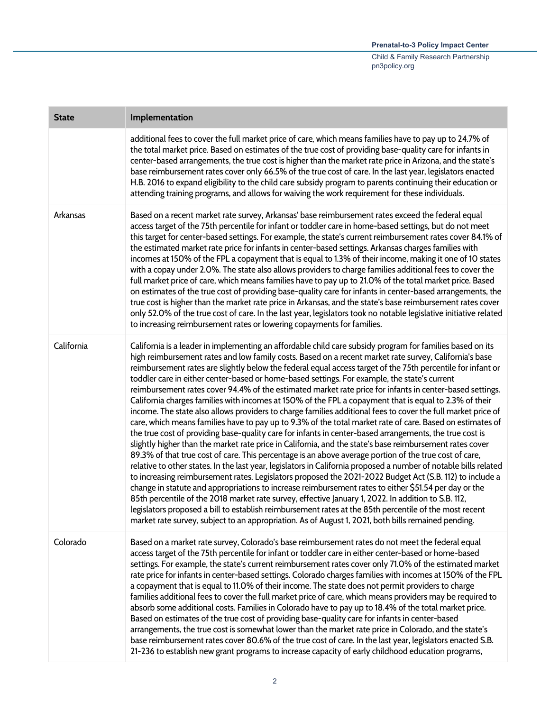| <b>State</b> | Implementation                                                                                                                                                                                                                                                                                                                                                                                                                                                                                                                                                                                                                                                                                                                                                                                                                                                                                                                                                                                                                                                                                                                                                                                                                                                                                                                                                                                                                                                                                                                                                                                                                                                                                                                                                                                                                                                                          |
|--------------|-----------------------------------------------------------------------------------------------------------------------------------------------------------------------------------------------------------------------------------------------------------------------------------------------------------------------------------------------------------------------------------------------------------------------------------------------------------------------------------------------------------------------------------------------------------------------------------------------------------------------------------------------------------------------------------------------------------------------------------------------------------------------------------------------------------------------------------------------------------------------------------------------------------------------------------------------------------------------------------------------------------------------------------------------------------------------------------------------------------------------------------------------------------------------------------------------------------------------------------------------------------------------------------------------------------------------------------------------------------------------------------------------------------------------------------------------------------------------------------------------------------------------------------------------------------------------------------------------------------------------------------------------------------------------------------------------------------------------------------------------------------------------------------------------------------------------------------------------------------------------------------------|
|              | additional fees to cover the full market price of care, which means families have to pay up to 24.7% of<br>the total market price. Based on estimates of the true cost of providing base-quality care for infants in<br>center-based arrangements, the true cost is higher than the market rate price in Arizona, and the state's<br>base reimbursement rates cover only 66.5% of the true cost of care. In the last year, legislators enacted<br>H.B. 2016 to expand eligibility to the child care subsidy program to parents continuing their education or<br>attending training programs, and allows for waiving the work requirement for these individuals.                                                                                                                                                                                                                                                                                                                                                                                                                                                                                                                                                                                                                                                                                                                                                                                                                                                                                                                                                                                                                                                                                                                                                                                                                         |
| Arkansas     | Based on a recent market rate survey, Arkansas' base reimbursement rates exceed the federal equal<br>access target of the 75th percentile for infant or toddler care in home-based settings, but do not meet<br>this target for center-based settings. For example, the state's current reimbursement rates cover 84.1% of<br>the estimated market rate price for infants in center-based settings. Arkansas charges families with<br>incomes at 150% of the FPL a copayment that is equal to 1.3% of their income, making it one of 10 states<br>with a copay under 2.0%. The state also allows providers to charge families additional fees to cover the<br>full market price of care, which means families have to pay up to 21.0% of the total market price. Based<br>on estimates of the true cost of providing base-quality care for infants in center-based arrangements, the<br>true cost is higher than the market rate price in Arkansas, and the state's base reimbursement rates cover<br>only 52.0% of the true cost of care. In the last year, legislators took no notable legislative initiative related<br>to increasing reimbursement rates or lowering copayments for families.                                                                                                                                                                                                                                                                                                                                                                                                                                                                                                                                                                                                                                                                                       |
| California   | California is a leader in implementing an affordable child care subsidy program for families based on its<br>high reimbursement rates and low family costs. Based on a recent market rate survey, California's base<br>reimbursement rates are slightly below the federal equal access target of the 75th percentile for infant or<br>toddler care in either center-based or home-based settings. For example, the state's current<br>reimbursement rates cover 94.4% of the estimated market rate price for infants in center-based settings.<br>California charges families with incomes at 150% of the FPL a copayment that is equal to 2.3% of their<br>income. The state also allows providers to charge families additional fees to cover the full market price of<br>care, which means families have to pay up to 9.3% of the total market rate of care. Based on estimates of<br>the true cost of providing base-quality care for infants in center-based arrangements, the true cost is<br>slightly higher than the market rate price in California, and the state's base reimbursement rates cover<br>89.3% of that true cost of care. This percentage is an above average portion of the true cost of care,<br>relative to other states. In the last year, legislators in California proposed a number of notable bills related<br>to increasing reimbursement rates. Legislators proposed the 2021-2022 Budget Act (S.B. 112) to include a<br>change in statute and appropriations to increase reimbursement rates to either \$51.54 per day or the<br>85th percentile of the 2018 market rate survey, effective January 1, 2022. In addition to S.B. 112,<br>legislators proposed a bill to establish reimbursement rates at the 85th percentile of the most recent<br>market rate survey, subject to an appropriation. As of August 1, 2021, both bills remained pending. |
| Colorado     | Based on a market rate survey, Colorado's base reimbursement rates do not meet the federal equal<br>access target of the 75th percentile for infant or toddler care in either center-based or home-based<br>settings. For example, the state's current reimbursement rates cover only 71.0% of the estimated market<br>rate price for infants in center-based settings. Colorado charges families with incomes at 150% of the FPL<br>a copayment that is equal to 11.0% of their income. The state does not permit providers to charge<br>families additional fees to cover the full market price of care, which means providers may be required to<br>absorb some additional costs. Families in Colorado have to pay up to 18.4% of the total market price.<br>Based on estimates of the true cost of providing base-quality care for infants in center-based<br>arrangements, the true cost is somewhat lower than the market rate price in Colorado, and the state's<br>base reimbursement rates cover 80.6% of the true cost of care. In the last year, legislators enacted S.B.<br>21-236 to establish new grant programs to increase capacity of early childhood education programs,                                                                                                                                                                                                                                                                                                                                                                                                                                                                                                                                                                                                                                                                                              |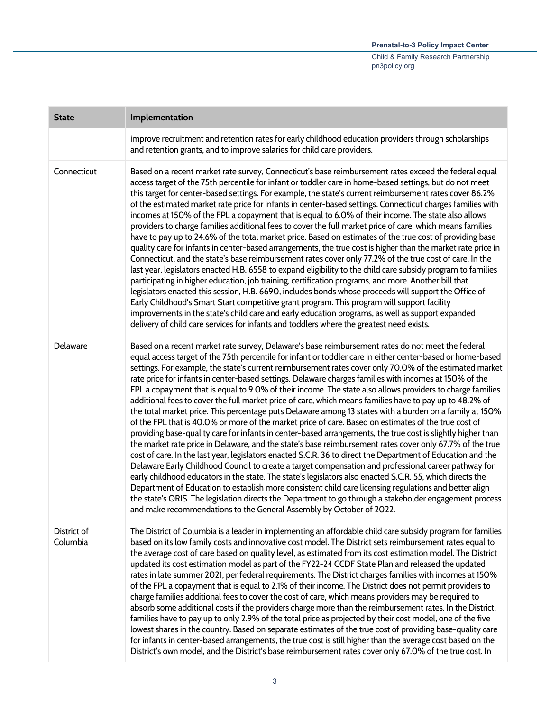| <b>State</b>            | Implementation                                                                                                                                                                                                                                                                                                                                                                                                                                                                                                                                                                                                                                                                                                                                                                                                                                                                                                                                                                                                                                                                                                                                                                                                                                                                                                                                                                                                                                                                                                                                                                                                                                                                                                                              |
|-------------------------|---------------------------------------------------------------------------------------------------------------------------------------------------------------------------------------------------------------------------------------------------------------------------------------------------------------------------------------------------------------------------------------------------------------------------------------------------------------------------------------------------------------------------------------------------------------------------------------------------------------------------------------------------------------------------------------------------------------------------------------------------------------------------------------------------------------------------------------------------------------------------------------------------------------------------------------------------------------------------------------------------------------------------------------------------------------------------------------------------------------------------------------------------------------------------------------------------------------------------------------------------------------------------------------------------------------------------------------------------------------------------------------------------------------------------------------------------------------------------------------------------------------------------------------------------------------------------------------------------------------------------------------------------------------------------------------------------------------------------------------------|
|                         | improve recruitment and retention rates for early childhood education providers through scholarships<br>and retention grants, and to improve salaries for child care providers.                                                                                                                                                                                                                                                                                                                                                                                                                                                                                                                                                                                                                                                                                                                                                                                                                                                                                                                                                                                                                                                                                                                                                                                                                                                                                                                                                                                                                                                                                                                                                             |
| Connecticut             | Based on a recent market rate survey, Connecticut's base reimbursement rates exceed the federal equal<br>access target of the 75th percentile for infant or toddler care in home-based settings, but do not meet<br>this target for center-based settings. For example, the state's current reimbursement rates cover 86.2%<br>of the estimated market rate price for infants in center-based settings. Connecticut charges families with<br>incomes at 150% of the FPL a copayment that is equal to 6.0% of their income. The state also allows<br>providers to charge families additional fees to cover the full market price of care, which means families<br>have to pay up to 24.6% of the total market price. Based on estimates of the true cost of providing base-<br>quality care for infants in center-based arrangements, the true cost is higher than the market rate price in<br>Connecticut, and the state's base reimbursement rates cover only 77.2% of the true cost of care. In the<br>last year, legislators enacted H.B. 6558 to expand eligibility to the child care subsidy program to families<br>participating in higher education, job training, certification programs, and more. Another bill that<br>legislators enacted this session, H.B. 6690, includes bonds whose proceeds will support the Office of<br>Early Childhood's Smart Start competitive grant program. This program will support facility<br>improvements in the state's child care and early education programs, as well as support expanded<br>delivery of child care services for infants and toddlers where the greatest need exists.                                                                                                       |
| Delaware                | Based on a recent market rate survey, Delaware's base reimbursement rates do not meet the federal<br>equal access target of the 75th percentile for infant or toddler care in either center-based or home-based<br>settings. For example, the state's current reimbursement rates cover only 70.0% of the estimated market<br>rate price for infants in center-based settings. Delaware charges families with incomes at 150% of the<br>FPL a copayment that is equal to 9.0% of their income. The state also allows providers to charge families<br>additional fees to cover the full market price of care, which means families have to pay up to 48.2% of<br>the total market price. This percentage puts Delaware among 13 states with a burden on a family at 150%<br>of the FPL that is 40.0% or more of the market price of care. Based on estimates of the true cost of<br>providing base-quality care for infants in center-based arrangements, the true cost is slightly higher than<br>the market rate price in Delaware, and the state's base reimbursement rates cover only 67.7% of the true<br>cost of care. In the last year, legislators enacted S.C.R. 36 to direct the Department of Education and the<br>Delaware Early Childhood Council to create a target compensation and professional career pathway for<br>early childhood educators in the state. The state's legislators also enacted S.C.R. 55, which directs the<br>Department of Education to establish more consistent child care licensing regulations and better align<br>the state's QRIS. The legislation directs the Department to go through a stakeholder engagement process<br>and make recommendations to the General Assembly by October of 2022. |
| District of<br>Columbia | The District of Columbia is a leader in implementing an affordable child care subsidy program for families<br>based on its low family costs and innovative cost model. The District sets reimbursement rates equal to<br>the average cost of care based on quality level, as estimated from its cost estimation model. The District<br>updated its cost estimation model as part of the FY22-24 CCDF State Plan and released the updated<br>rates in late summer 2021, per federal requirements. The District charges families with incomes at 150%<br>of the FPL a copayment that is equal to 2.1% of their income. The District does not permit providers to<br>charge families additional fees to cover the cost of care, which means providers may be required to<br>absorb some additional costs if the providers charge more than the reimbursement rates. In the District,<br>families have to pay up to only 2.9% of the total price as projected by their cost model, one of the five<br>lowest shares in the country. Based on separate estimates of the true cost of providing base-quality care<br>for infants in center-based arrangements, the true cost is still higher than the average cost based on the<br>District's own model, and the District's base reimbursement rates cover only 67.0% of the true cost. In                                                                                                                                                                                                                                                                                                                                                                                                        |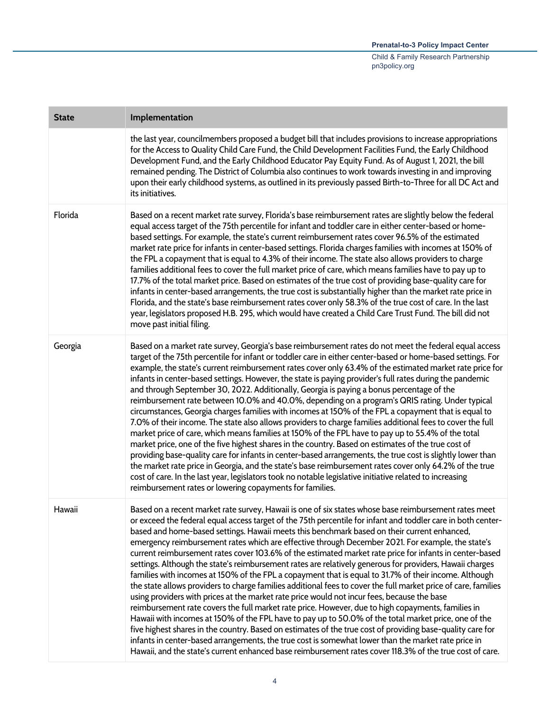| <b>State</b> | Implementation                                                                                                                                                                                                                                                                                                                                                                                                                                                                                                                                                                                                                                                                                                                                                                                                                                                                                                                                                                                                                                                                                                                                                                                                                                                                                                                                                                                                                                                                                                            |
|--------------|---------------------------------------------------------------------------------------------------------------------------------------------------------------------------------------------------------------------------------------------------------------------------------------------------------------------------------------------------------------------------------------------------------------------------------------------------------------------------------------------------------------------------------------------------------------------------------------------------------------------------------------------------------------------------------------------------------------------------------------------------------------------------------------------------------------------------------------------------------------------------------------------------------------------------------------------------------------------------------------------------------------------------------------------------------------------------------------------------------------------------------------------------------------------------------------------------------------------------------------------------------------------------------------------------------------------------------------------------------------------------------------------------------------------------------------------------------------------------------------------------------------------------|
|              | the last year, councilmembers proposed a budget bill that includes provisions to increase appropriations<br>for the Access to Quality Child Care Fund, the Child Development Facilities Fund, the Early Childhood<br>Development Fund, and the Early Childhood Educator Pay Equity Fund. As of August 1, 2021, the bill<br>remained pending. The District of Columbia also continues to work towards investing in and improving<br>upon their early childhood systems, as outlined in its previously passed Birth-to-Three for all DC Act and<br>its initiatives.                                                                                                                                                                                                                                                                                                                                                                                                                                                                                                                                                                                                                                                                                                                                                                                                                                                                                                                                                         |
| Florida      | Based on a recent market rate survey, Florida's base reimbursement rates are slightly below the federal<br>equal access target of the 75th percentile for infant and toddler care in either center-based or home-<br>based settings. For example, the state's current reimbursement rates cover 96.5% of the estimated<br>market rate price for infants in center-based settings. Florida charges families with incomes at 150% of<br>the FPL a copayment that is equal to 4.3% of their income. The state also allows providers to charge<br>families additional fees to cover the full market price of care, which means families have to pay up to<br>17.7% of the total market price. Based on estimates of the true cost of providing base-quality care for<br>infants in center-based arrangements, the true cost is substantially higher than the market rate price in<br>Florida, and the state's base reimbursement rates cover only 58.3% of the true cost of care. In the last<br>year, legislators proposed H.B. 295, which would have created a Child Care Trust Fund. The bill did not<br>move past initial filing.                                                                                                                                                                                                                                                                                                                                                                                         |
| Georgia      | Based on a market rate survey, Georgia's base reimbursement rates do not meet the federal equal access<br>target of the 75th percentile for infant or toddler care in either center-based or home-based settings. For<br>example, the state's current reimbursement rates cover only 63.4% of the estimated market rate price for<br>infants in center-based settings. However, the state is paying provider's full rates during the pandemic<br>and through September 30, 2022. Additionally, Georgia is paying a bonus percentage of the<br>reimbursement rate between 10.0% and 40.0%, depending on a program's QRIS rating. Under typical<br>circumstances, Georgia charges families with incomes at 150% of the FPL a copayment that is equal to<br>7.0% of their income. The state also allows providers to charge families additional fees to cover the full<br>market price of care, which means families at 150% of the FPL have to pay up to 55.4% of the total<br>market price, one of the five highest shares in the country. Based on estimates of the true cost of<br>providing base-quality care for infants in center-based arrangements, the true cost is slightly lower than<br>the market rate price in Georgia, and the state's base reimbursement rates cover only 64.2% of the true<br>cost of care. In the last year, legislators took no notable legislative initiative related to increasing<br>reimbursement rates or lowering copayments for families.                                         |
| Hawaii       | Based on a recent market rate survey, Hawaii is one of six states whose base reimbursement rates meet<br>or exceed the federal equal access target of the 75th percentile for infant and toddler care in both center-<br>based and home-based settings. Hawaii meets this benchmark based on their current enhanced,<br>emergency reimbursement rates which are effective through December 2021. For example, the state's<br>current reimbursement rates cover 103.6% of the estimated market rate price for infants in center-based<br>settings. Although the state's reimbursement rates are relatively generous for providers, Hawaii charges<br>families with incomes at 150% of the FPL a copayment that is equal to 31.7% of their income. Although<br>the state allows providers to charge families additional fees to cover the full market price of care, families<br>using providers with prices at the market rate price would not incur fees, because the base<br>reimbursement rate covers the full market rate price. However, due to high copayments, families in<br>Hawaii with incomes at 150% of the FPL have to pay up to 50.0% of the total market price, one of the<br>five highest shares in the country. Based on estimates of the true cost of providing base-quality care for<br>infants in center-based arrangements, the true cost is somewhat lower than the market rate price in<br>Hawaii, and the state's current enhanced base reimbursement rates cover 118.3% of the true cost of care. |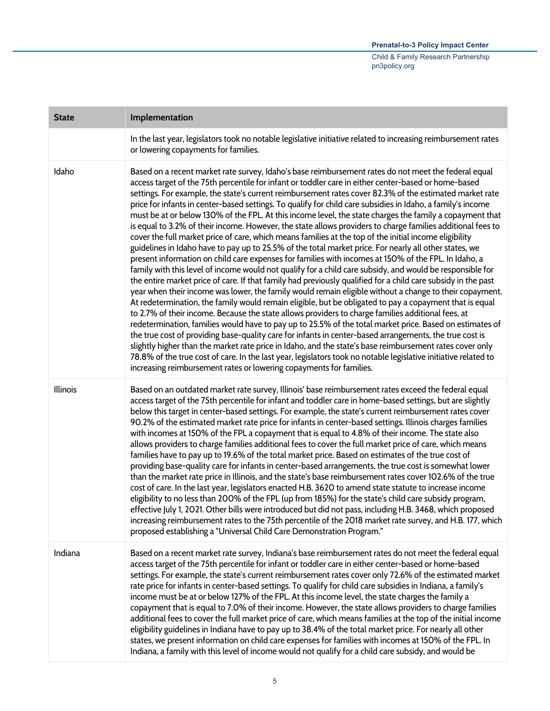| <b>State</b> | Implementation                                                                                                                                                                                                                                                                                                                                                                                                                                                                                                                                                                                                                                                                                                                                                                                                                                                                                                                                                                                                                                                                                                                                                                                                                                                                                                                                                                                                                                                                                                                                                                                                                                                                                                                                                                                                                                                                                                                                                                                                                                                                       |
|--------------|--------------------------------------------------------------------------------------------------------------------------------------------------------------------------------------------------------------------------------------------------------------------------------------------------------------------------------------------------------------------------------------------------------------------------------------------------------------------------------------------------------------------------------------------------------------------------------------------------------------------------------------------------------------------------------------------------------------------------------------------------------------------------------------------------------------------------------------------------------------------------------------------------------------------------------------------------------------------------------------------------------------------------------------------------------------------------------------------------------------------------------------------------------------------------------------------------------------------------------------------------------------------------------------------------------------------------------------------------------------------------------------------------------------------------------------------------------------------------------------------------------------------------------------------------------------------------------------------------------------------------------------------------------------------------------------------------------------------------------------------------------------------------------------------------------------------------------------------------------------------------------------------------------------------------------------------------------------------------------------------------------------------------------------------------------------------------------------|
|              | In the last year, legislators took no notable legislative initiative related to increasing reimbursement rates<br>or lowering copayments for families.                                                                                                                                                                                                                                                                                                                                                                                                                                                                                                                                                                                                                                                                                                                                                                                                                                                                                                                                                                                                                                                                                                                                                                                                                                                                                                                                                                                                                                                                                                                                                                                                                                                                                                                                                                                                                                                                                                                               |
| Idaho        | Based on a recent market rate survey, Idaho's base reimbursement rates do not meet the federal equal<br>access target of the 75th percentile for infant or toddler care in either center-based or home-based<br>settings. For example, the state's current reimbursement rates cover 82.3% of the estimated market rate<br>price for infants in center-based settings. To qualify for child care subsidies in Idaho, a family's income<br>must be at or below 130% of the FPL. At this income level, the state charges the family a copayment that<br>is equal to 3.2% of their income. However, the state allows providers to charge families additional fees to<br>cover the full market price of care, which means families at the top of the initial income eligibility<br>guidelines in Idaho have to pay up to 25.5% of the total market price. For nearly all other states, we<br>present information on child care expenses for families with incomes at 150% of the FPL. In Idaho, a<br>family with this level of income would not qualify for a child care subsidy, and would be responsible for<br>the entire market price of care. If that family had previously qualified for a child care subsidy in the past<br>year when their income was lower, the family would remain eligible without a change to their copayment.<br>At redetermination, the family would remain eligible, but be obligated to pay a copayment that is equal<br>to 2.7% of their income. Because the state allows providers to charge families additional fees, at<br>redetermination, families would have to pay up to 25.5% of the total market price. Based on estimates of<br>the true cost of providing base-quality care for infants in center-based arrangements, the true cost is<br>slightly higher than the market rate price in Idaho, and the state's base reimbursement rates cover only<br>78.8% of the true cost of care. In the last year, legislators took no notable legislative initiative related to<br>increasing reimbursement rates or lowering copayments for families. |
| Illinois     | Based on an outdated market rate survey, Illinois' base reimbursement rates exceed the federal equal<br>access target of the 75th percentile for infant and toddler care in home-based settings, but are slightly<br>below this target in center-based settings. For example, the state's current reimbursement rates cover<br>90.2% of the estimated market rate price for infants in center-based settings. Illinois charges families<br>with incomes at 150% of the FPL a copayment that is equal to 4.8% of their income. The state also<br>allows providers to charge families additional fees to cover the full market price of care, which means<br>families have to pay up to 19.6% of the total market price. Based on estimates of the true cost of<br>providing base-quality care for infants in center-based arrangements, the true cost is somewhat lower<br>than the market rate price in Illinois, and the state's base reimbursement rates cover 102.6% of the true<br>cost of care. In the last year, legislators enacted H.B. 3620 to amend state statute to increase income<br>eligibility to no less than 200% of the FPL (up from 185%) for the state's child care subsidy program,<br>effective July 1, 2021. Other bills were introduced but did not pass, including H.B. 3468, which proposed<br>increasing reimbursement rates to the 75th percentile of the 2018 market rate survey, and H.B. 177, which<br>proposed establishing a "Universal Child Care Demonstration Program."                                                                                                                                                                                                                                                                                                                                                                                                                                                                                                                                                                          |
| Indiana      | Based on a recent market rate survey, Indiana's base reimbursement rates do not meet the federal equal<br>access target of the 75th percentile for infant or toddler care in either center-based or home-based<br>settings. For example, the state's current reimbursement rates cover only 72.6% of the estimated market<br>rate price for infants in center-based settings. To qualify for child care subsidies in Indiana, a family's<br>income must be at or below 127% of the FPL. At this income level, the state charges the family a<br>copayment that is equal to 7.0% of their income. However, the state allows providers to charge families<br>additional fees to cover the full market price of care, which means families at the top of the initial income<br>eligibility guidelines in Indiana have to pay up to 38.4% of the total market price. For nearly all other<br>states, we present information on child care expenses for families with incomes at 150% of the FPL. In<br>Indiana, a family with this level of income would not qualify for a child care subsidy, and would be                                                                                                                                                                                                                                                                                                                                                                                                                                                                                                                                                                                                                                                                                                                                                                                                                                                                                                                                                                              |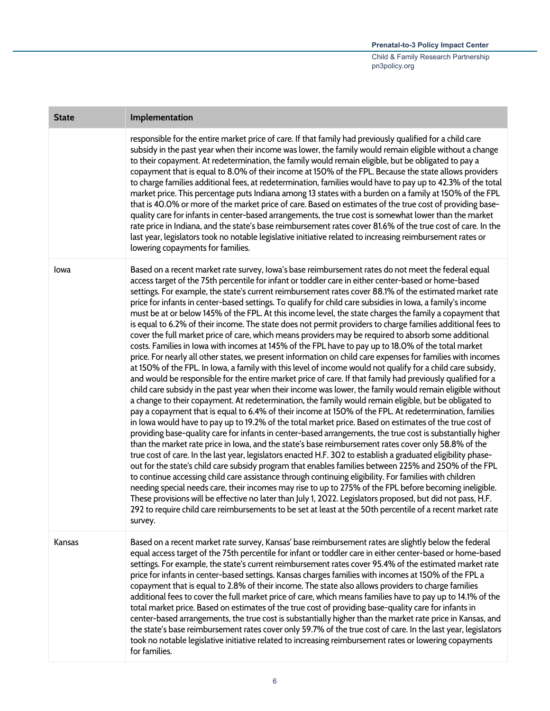| <b>State</b> | Implementation                                                                                                                                                                                                                                                                                                                                                                                                                                                                                                                                                                                                                                                                                                                                                                                                                                                                                                                                                                                                                                                                                                                                                                                                                                                                                                                                                                                                                                                                                                                                                                                                                                                                                                                                                                                                                                                                                                                                                                                                                                                                                                                                                                                                                                                                                                                                                                                                                                                                                                                                                                        |
|--------------|---------------------------------------------------------------------------------------------------------------------------------------------------------------------------------------------------------------------------------------------------------------------------------------------------------------------------------------------------------------------------------------------------------------------------------------------------------------------------------------------------------------------------------------------------------------------------------------------------------------------------------------------------------------------------------------------------------------------------------------------------------------------------------------------------------------------------------------------------------------------------------------------------------------------------------------------------------------------------------------------------------------------------------------------------------------------------------------------------------------------------------------------------------------------------------------------------------------------------------------------------------------------------------------------------------------------------------------------------------------------------------------------------------------------------------------------------------------------------------------------------------------------------------------------------------------------------------------------------------------------------------------------------------------------------------------------------------------------------------------------------------------------------------------------------------------------------------------------------------------------------------------------------------------------------------------------------------------------------------------------------------------------------------------------------------------------------------------------------------------------------------------------------------------------------------------------------------------------------------------------------------------------------------------------------------------------------------------------------------------------------------------------------------------------------------------------------------------------------------------------------------------------------------------------------------------------------------------|
|              | responsible for the entire market price of care. If that family had previously qualified for a child care<br>subsidy in the past year when their income was lower, the family would remain eligible without a change<br>to their copayment. At redetermination, the family would remain eligible, but be obligated to pay a<br>copayment that is equal to 8.0% of their income at 150% of the FPL. Because the state allows providers<br>to charge families additional fees, at redetermination, families would have to pay up to 42.3% of the total<br>market price. This percentage puts Indiana among 13 states with a burden on a family at 150% of the FPL<br>that is 40.0% or more of the market price of care. Based on estimates of the true cost of providing base-<br>quality care for infants in center-based arrangements, the true cost is somewhat lower than the market<br>rate price in Indiana, and the state's base reimbursement rates cover 81.6% of the true cost of care. In the<br>last year, legislators took no notable legislative initiative related to increasing reimbursement rates or<br>lowering copayments for families.                                                                                                                                                                                                                                                                                                                                                                                                                                                                                                                                                                                                                                                                                                                                                                                                                                                                                                                                                                                                                                                                                                                                                                                                                                                                                                                                                                                                                             |
| lowa         | Based on a recent market rate survey, lowa's base reimbursement rates do not meet the federal equal<br>access target of the 75th percentile for infant or toddler care in either center-based or home-based<br>settings. For example, the state's current reimbursement rates cover 88.1% of the estimated market rate<br>price for infants in center-based settings. To qualify for child care subsidies in Iowa, a family's income<br>must be at or below 145% of the FPL. At this income level, the state charges the family a copayment that<br>is equal to 6.2% of their income. The state does not permit providers to charge families additional fees to<br>cover the full market price of care, which means providers may be required to absorb some additional<br>costs. Families in lowa with incomes at 145% of the FPL have to pay up to 18.0% of the total market<br>price. For nearly all other states, we present information on child care expenses for families with incomes<br>at 150% of the FPL. In Iowa, a family with this level of income would not qualify for a child care subsidy,<br>and would be responsible for the entire market price of care. If that family had previously qualified for a<br>child care subsidy in the past year when their income was lower, the family would remain eligible without<br>a change to their copayment. At redetermination, the family would remain eligible, but be obligated to<br>pay a copayment that is equal to 6.4% of their income at 150% of the FPL. At redetermination, families<br>in lowa would have to pay up to 19.2% of the total market price. Based on estimates of the true cost of<br>providing base-quality care for infants in center-based arrangements, the true cost is substantially higher<br>than the market rate price in lowa, and the state's base reimbursement rates cover only 58.8% of the<br>true cost of care. In the last year, legislators enacted H.F. 302 to establish a graduated eligibility phase-<br>out for the state's child care subsidy program that enables families between 225% and 250% of the FPL<br>to continue accessing child care assistance through continuing eligibility. For families with children<br>needing special needs care, their incomes may rise to up to 275% of the FPL before becoming ineligible.<br>These provisions will be effective no later than July 1, 2022. Legislators proposed, but did not pass, H.F.<br>292 to require child care reimbursements to be set at least at the 50th percentile of a recent market rate<br>survey. |
| Kansas       | Based on a recent market rate survey, Kansas' base reimbursement rates are slightly below the federal<br>equal access target of the 75th percentile for infant or toddler care in either center-based or home-based<br>settings. For example, the state's current reimbursement rates cover 95.4% of the estimated market rate<br>price for infants in center-based settings. Kansas charges families with incomes at 150% of the FPL a<br>copayment that is equal to 2.8% of their income. The state also allows providers to charge families<br>additional fees to cover the full market price of care, which means families have to pay up to 14.1% of the<br>total market price. Based on estimates of the true cost of providing base-quality care for infants in<br>center-based arrangements, the true cost is substantially higher than the market rate price in Kansas, and<br>the state's base reimbursement rates cover only 59.7% of the true cost of care. In the last year, legislators<br>took no notable legislative initiative related to increasing reimbursement rates or lowering copayments<br>for families.                                                                                                                                                                                                                                                                                                                                                                                                                                                                                                                                                                                                                                                                                                                                                                                                                                                                                                                                                                                                                                                                                                                                                                                                                                                                                                                                                                                                                                                     |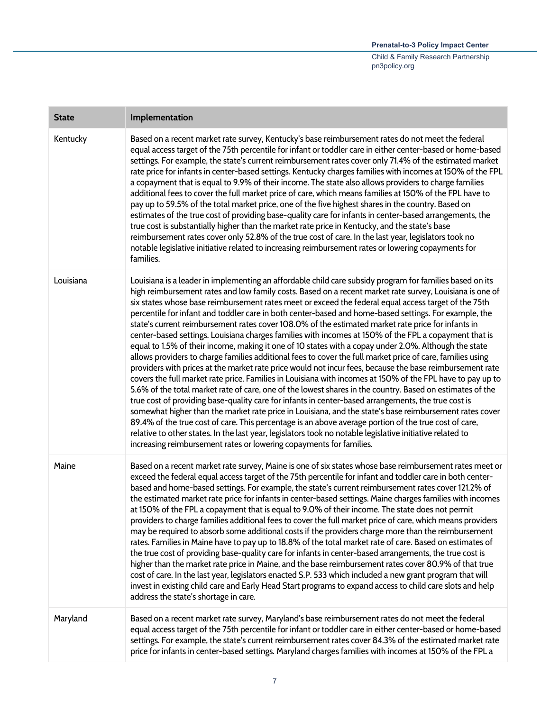| <b>State</b> | Implementation                                                                                                                                                                                                                                                                                                                                                                                                                                                                                                                                                                                                                                                                                                                                                                                                                                                                                                                                                                                                                                                                                                                                                                                                                                                                                                                                                                                                                                                                                                                                                                                                                                                                                                                    |
|--------------|-----------------------------------------------------------------------------------------------------------------------------------------------------------------------------------------------------------------------------------------------------------------------------------------------------------------------------------------------------------------------------------------------------------------------------------------------------------------------------------------------------------------------------------------------------------------------------------------------------------------------------------------------------------------------------------------------------------------------------------------------------------------------------------------------------------------------------------------------------------------------------------------------------------------------------------------------------------------------------------------------------------------------------------------------------------------------------------------------------------------------------------------------------------------------------------------------------------------------------------------------------------------------------------------------------------------------------------------------------------------------------------------------------------------------------------------------------------------------------------------------------------------------------------------------------------------------------------------------------------------------------------------------------------------------------------------------------------------------------------|
| Kentucky     | Based on a recent market rate survey, Kentucky's base reimbursement rates do not meet the federal<br>equal access target of the 75th percentile for infant or toddler care in either center-based or home-based<br>settings. For example, the state's current reimbursement rates cover only 71.4% of the estimated market<br>rate price for infants in center-based settings. Kentucky charges families with incomes at 150% of the FPL<br>a copayment that is equal to 9.9% of their income. The state also allows providers to charge families<br>additional fees to cover the full market price of care, which means families at 150% of the FPL have to<br>pay up to 59.5% of the total market price, one of the five highest shares in the country. Based on<br>estimates of the true cost of providing base-quality care for infants in center-based arrangements, the<br>true cost is substantially higher than the market rate price in Kentucky, and the state's base<br>reimbursement rates cover only 52.8% of the true cost of care. In the last year, legislators took no<br>notable legislative initiative related to increasing reimbursement rates or lowering copayments for<br>families.                                                                                                                                                                                                                                                                                                                                                                                                                                                                                                                       |
| Louisiana    | Louisiana is a leader in implementing an affordable child care subsidy program for families based on its<br>high reimbursement rates and low family costs. Based on a recent market rate survey, Louisiana is one of<br>six states whose base reimbursement rates meet or exceed the federal equal access target of the 75th<br>percentile for infant and toddler care in both center-based and home-based settings. For example, the<br>state's current reimbursement rates cover 108.0% of the estimated market rate price for infants in<br>center-based settings. Louisiana charges families with incomes at 150% of the FPL a copayment that is<br>equal to 1.5% of their income, making it one of 10 states with a copay under 2.0%. Although the state<br>allows providers to charge families additional fees to cover the full market price of care, families using<br>providers with prices at the market rate price would not incur fees, because the base reimbursement rate<br>covers the full market rate price. Families in Louisiana with incomes at 150% of the FPL have to pay up to<br>5.6% of the total market rate of care, one of the lowest shares in the country. Based on estimates of the<br>true cost of providing base-quality care for infants in center-based arrangements, the true cost is<br>somewhat higher than the market rate price in Louisiana, and the state's base reimbursement rates cover<br>89.4% of the true cost of care. This percentage is an above average portion of the true cost of care,<br>relative to other states. In the last year, legislators took no notable legislative initiative related to<br>increasing reimbursement rates or lowering copayments for families. |
| Maine        | Based on a recent market rate survey, Maine is one of six states whose base reimbursement rates meet or<br>exceed the federal equal access target of the 75th percentile for infant and toddler care in both center-<br>based and home-based settings. For example, the state's current reimbursement rates cover 121.2% of<br>the estimated market rate price for infants in center-based settings. Maine charges families with incomes<br>at 150% of the FPL a copayment that is equal to 9.0% of their income. The state does not permit<br>providers to charge families additional fees to cover the full market price of care, which means providers<br>may be required to absorb some additional costs if the providers charge more than the reimbursement<br>rates. Families in Maine have to pay up to 18.8% of the total market rate of care. Based on estimates of<br>the true cost of providing base-quality care for infants in center-based arrangements, the true cost is<br>higher than the market rate price in Maine, and the base reimbursement rates cover 80.9% of that true<br>cost of care. In the last year, legislators enacted S.P. 533 which included a new grant program that will<br>invest in existing child care and Early Head Start programs to expand access to child care slots and help<br>address the state's shortage in care.                                                                                                                                                                                                                                                                                                                                                               |
| Maryland     | Based on a recent market rate survey, Maryland's base reimbursement rates do not meet the federal<br>equal access target of the 75th percentile for infant or toddler care in either center-based or home-based<br>settings. For example, the state's current reimbursement rates cover 84.3% of the estimated market rate<br>price for infants in center-based settings. Maryland charges families with incomes at 150% of the FPL a                                                                                                                                                                                                                                                                                                                                                                                                                                                                                                                                                                                                                                                                                                                                                                                                                                                                                                                                                                                                                                                                                                                                                                                                                                                                                             |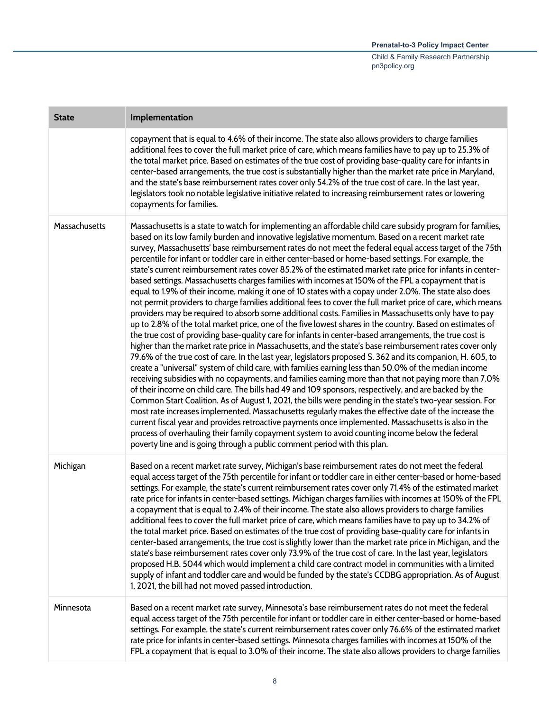| <b>State</b>  | Implementation                                                                                                                                                                                                                                                                                                                                                                                                                                                                                                                                                                                                                                                                                                                                                                                                                                                                                                                                                                                                                                                                                                                                                                                                                                                                                                                                                                                                                                                                                                                                                                                                                                                                                                                                                                                                                                                                                                                                                                                                                                                                                                                                                                                                                                                                     |
|---------------|------------------------------------------------------------------------------------------------------------------------------------------------------------------------------------------------------------------------------------------------------------------------------------------------------------------------------------------------------------------------------------------------------------------------------------------------------------------------------------------------------------------------------------------------------------------------------------------------------------------------------------------------------------------------------------------------------------------------------------------------------------------------------------------------------------------------------------------------------------------------------------------------------------------------------------------------------------------------------------------------------------------------------------------------------------------------------------------------------------------------------------------------------------------------------------------------------------------------------------------------------------------------------------------------------------------------------------------------------------------------------------------------------------------------------------------------------------------------------------------------------------------------------------------------------------------------------------------------------------------------------------------------------------------------------------------------------------------------------------------------------------------------------------------------------------------------------------------------------------------------------------------------------------------------------------------------------------------------------------------------------------------------------------------------------------------------------------------------------------------------------------------------------------------------------------------------------------------------------------------------------------------------------------|
|               | copayment that is equal to 4.6% of their income. The state also allows providers to charge families<br>additional fees to cover the full market price of care, which means families have to pay up to 25.3% of<br>the total market price. Based on estimates of the true cost of providing base-quality care for infants in<br>center-based arrangements, the true cost is substantially higher than the market rate price in Maryland,<br>and the state's base reimbursement rates cover only 54.2% of the true cost of care. In the last year,<br>legislators took no notable legislative initiative related to increasing reimbursement rates or lowering<br>copayments for families.                                                                                                                                                                                                                                                                                                                                                                                                                                                                                                                                                                                                                                                                                                                                                                                                                                                                                                                                                                                                                                                                                                                                                                                                                                                                                                                                                                                                                                                                                                                                                                                           |
| Massachusetts | Massachusetts is a state to watch for implementing an affordable child care subsidy program for families,<br>based on its low family burden and innovative legislative momentum. Based on a recent market rate<br>survey, Massachusetts' base reimbursement rates do not meet the federal equal access target of the 75th<br>percentile for infant or toddler care in either center-based or home-based settings. For example, the<br>state's current reimbursement rates cover 85.2% of the estimated market rate price for infants in center-<br>based settings. Massachusetts charges families with incomes at 150% of the FPL a copayment that is<br>equal to 1.9% of their income, making it one of 10 states with a copay under 2.0%. The state also does<br>not permit providers to charge families additional fees to cover the full market price of care, which means<br>providers may be required to absorb some additional costs. Families in Massachusetts only have to pay<br>up to 2.8% of the total market price, one of the five lowest shares in the country. Based on estimates of<br>the true cost of providing base-quality care for infants in center-based arrangements, the true cost is<br>higher than the market rate price in Massachusetts, and the state's base reimbursement rates cover only<br>79.6% of the true cost of care. In the last year, legislators proposed S. 362 and its companion, H. 605, to<br>create a "universal" system of child care, with families earning less than 50.0% of the median income<br>receiving subsidies with no copayments, and families earning more than that not paying more than 7.0%<br>of their income on child care. The bills had 49 and 109 sponsors, respectively, and are backed by the<br>Common Start Coalition. As of August 1, 2021, the bills were pending in the state's two-year session. For<br>most rate increases implemented, Massachusetts regularly makes the effective date of the increase the<br>current fiscal year and provides retroactive payments once implemented. Massachusetts is also in the<br>process of overhauling their family copayment system to avoid counting income below the federal<br>poverty line and is going through a public comment period with this plan. |
| Michigan      | Based on a recent market rate survey, Michigan's base reimbursement rates do not meet the federal<br>equal access target of the 75th percentile for infant or toddler care in either center-based or home-based<br>settings. For example, the state's current reimbursement rates cover only 71.4% of the estimated market<br>rate price for infants in center-based settings. Michigan charges families with incomes at 150% of the FPL<br>a copayment that is equal to 2.4% of their income. The state also allows providers to charge families<br>additional fees to cover the full market price of care, which means families have to pay up to 34.2% of<br>the total market price. Based on estimates of the true cost of providing base-quality care for infants in<br>center-based arrangements, the true cost is slightly lower than the market rate price in Michigan, and the<br>state's base reimbursement rates cover only 73.9% of the true cost of care. In the last year, legislators<br>proposed H.B. 5044 which would implement a child care contract model in communities with a limited<br>supply of infant and toddler care and would be funded by the state's CCDBG appropriation. As of August<br>1, 2021, the bill had not moved passed introduction.                                                                                                                                                                                                                                                                                                                                                                                                                                                                                                                                                                                                                                                                                                                                                                                                                                                                                                                                                                                                       |
| Minnesota     | Based on a recent market rate survey, Minnesota's base reimbursement rates do not meet the federal<br>equal access target of the 75th percentile for infant or toddler care in either center-based or home-based<br>settings. For example, the state's current reimbursement rates cover only 76.6% of the estimated market<br>rate price for infants in center-based settings. Minnesota charges families with incomes at 150% of the<br>FPL a copayment that is equal to 3.0% of their income. The state also allows providers to charge families                                                                                                                                                                                                                                                                                                                                                                                                                                                                                                                                                                                                                                                                                                                                                                                                                                                                                                                                                                                                                                                                                                                                                                                                                                                                                                                                                                                                                                                                                                                                                                                                                                                                                                                                |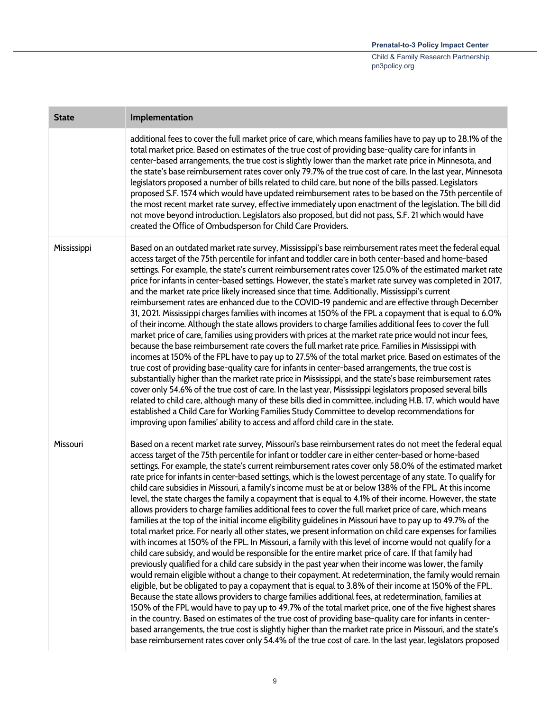| <b>State</b> | Implementation                                                                                                                                                                                                                                                                                                                                                                                                                                                                                                                                                                                                                                                                                                                                                                                                                                                                                                                                                                                                                                                                                                                                                                                                                                                                                                                                                                                                                                                                                                                                                                                                                                                                                                                                                                                                                                                                                                                                                                                                                                                                                                                 |
|--------------|--------------------------------------------------------------------------------------------------------------------------------------------------------------------------------------------------------------------------------------------------------------------------------------------------------------------------------------------------------------------------------------------------------------------------------------------------------------------------------------------------------------------------------------------------------------------------------------------------------------------------------------------------------------------------------------------------------------------------------------------------------------------------------------------------------------------------------------------------------------------------------------------------------------------------------------------------------------------------------------------------------------------------------------------------------------------------------------------------------------------------------------------------------------------------------------------------------------------------------------------------------------------------------------------------------------------------------------------------------------------------------------------------------------------------------------------------------------------------------------------------------------------------------------------------------------------------------------------------------------------------------------------------------------------------------------------------------------------------------------------------------------------------------------------------------------------------------------------------------------------------------------------------------------------------------------------------------------------------------------------------------------------------------------------------------------------------------------------------------------------------------|
|              | additional fees to cover the full market price of care, which means families have to pay up to 28.1% of the<br>total market price. Based on estimates of the true cost of providing base-quality care for infants in<br>center-based arrangements, the true cost is slightly lower than the market rate price in Minnesota, and<br>the state's base reimbursement rates cover only 79.7% of the true cost of care. In the last year, Minnesota<br>legislators proposed a number of bills related to child care, but none of the bills passed. Legislators<br>proposed S.F. 1574 which would have updated reimbursement rates to be based on the 75th percentile of<br>the most recent market rate survey, effective immediately upon enactment of the legislation. The bill did<br>not move beyond introduction. Legislators also proposed, but did not pass, S.F. 21 which would have<br>created the Office of Ombudsperson for Child Care Providers.                                                                                                                                                                                                                                                                                                                                                                                                                                                                                                                                                                                                                                                                                                                                                                                                                                                                                                                                                                                                                                                                                                                                                                         |
| Mississippi  | Based on an outdated market rate survey, Mississippi's base reimbursement rates meet the federal equal<br>access target of the 75th percentile for infant and toddler care in both center-based and home-based<br>settings. For example, the state's current reimbursement rates cover 125.0% of the estimated market rate<br>price for infants in center-based settings. However, the state's market rate survey was completed in 2017,<br>and the market rate price likely increased since that time. Additionally, Mississippi's current<br>reimbursement rates are enhanced due to the COVID-19 pandemic and are effective through December<br>31, 2021. Mississippi charges families with incomes at 150% of the FPL a copayment that is equal to 6.0%<br>of their income. Although the state allows providers to charge families additional fees to cover the full<br>market price of care, families using providers with prices at the market rate price would not incur fees,<br>because the base reimbursement rate covers the full market rate price. Families in Mississippi with<br>incomes at 150% of the FPL have to pay up to 27.5% of the total market price. Based on estimates of the<br>true cost of providing base-quality care for infants in center-based arrangements, the true cost is<br>substantially higher than the market rate price in Mississippi, and the state's base reimbursement rates<br>cover only 54.6% of the true cost of care. In the last year, Mississippi legislators proposed several bills<br>related to child care, although many of these bills died in committee, including H.B. 17, which would have<br>established a Child Care for Working Families Study Committee to develop recommendations for<br>improving upon families' ability to access and afford child care in the state.                                                                                                                                                                                                                                                                                      |
| Missouri     | Based on a recent market rate survey, Missouri's base reimbursement rates do not meet the federal equal<br>access target of the 75th percentile for infant or toddler care in either center-based or home-based<br>settings. For example, the state's current reimbursement rates cover only 58.0% of the estimated market<br>rate price for infants in center-based settings, which is the lowest percentage of any state. To qualify for<br>child care subsidies in Missouri, a family's income must be at or below 138% of the FPL. At this income<br>level, the state charges the family a copayment that is equal to 4.1% of their income. However, the state<br>allows providers to charge families additional fees to cover the full market price of care, which means<br>families at the top of the initial income eligibility guidelines in Missouri have to pay up to 49.7% of the<br>total market price. For nearly all other states, we present information on child care expenses for families<br>with incomes at 150% of the FPL. In Missouri, a family with this level of income would not qualify for a<br>child care subsidy, and would be responsible for the entire market price of care. If that family had<br>previously qualified for a child care subsidy in the past year when their income was lower, the family<br>would remain eligible without a change to their copayment. At redetermination, the family would remain<br>eligible, but be obligated to pay a copayment that is equal to 3.8% of their income at 150% of the FPL.<br>Because the state allows providers to charge families additional fees, at redetermination, families at<br>150% of the FPL would have to pay up to 49.7% of the total market price, one of the five highest shares<br>in the country. Based on estimates of the true cost of providing base-quality care for infants in center-<br>based arrangements, the true cost is slightly higher than the market rate price in Missouri, and the state's<br>base reimbursement rates cover only 54.4% of the true cost of care. In the last year, legislators proposed |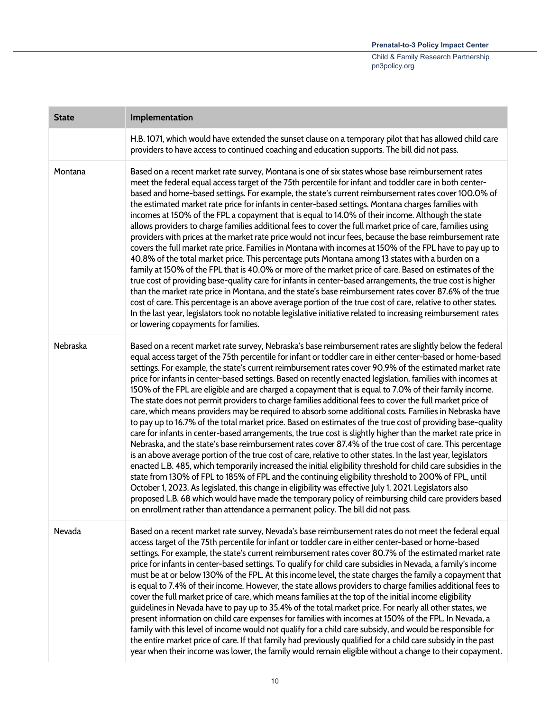| <b>State</b> | Implementation                                                                                                                                                                                                                                                                                                                                                                                                                                                                                                                                                                                                                                                                                                                                                                                                                                                                                                                                                                                                                                                                                                                                                                                                                                                                                                                                                                                                                                                                                                                                                                                                                                                                                                                                                                  |
|--------------|---------------------------------------------------------------------------------------------------------------------------------------------------------------------------------------------------------------------------------------------------------------------------------------------------------------------------------------------------------------------------------------------------------------------------------------------------------------------------------------------------------------------------------------------------------------------------------------------------------------------------------------------------------------------------------------------------------------------------------------------------------------------------------------------------------------------------------------------------------------------------------------------------------------------------------------------------------------------------------------------------------------------------------------------------------------------------------------------------------------------------------------------------------------------------------------------------------------------------------------------------------------------------------------------------------------------------------------------------------------------------------------------------------------------------------------------------------------------------------------------------------------------------------------------------------------------------------------------------------------------------------------------------------------------------------------------------------------------------------------------------------------------------------|
|              | H.B. 1071, which would have extended the sunset clause on a temporary pilot that has allowed child care<br>providers to have access to continued coaching and education supports. The bill did not pass.                                                                                                                                                                                                                                                                                                                                                                                                                                                                                                                                                                                                                                                                                                                                                                                                                                                                                                                                                                                                                                                                                                                                                                                                                                                                                                                                                                                                                                                                                                                                                                        |
| Montana      | Based on a recent market rate survey, Montana is one of six states whose base reimbursement rates<br>meet the federal equal access target of the 75th percentile for infant and toddler care in both center-<br>based and home-based settings. For example, the state's current reimbursement rates cover 100.0% of<br>the estimated market rate price for infants in center-based settings. Montana charges families with<br>incomes at 150% of the FPL a copayment that is equal to 14.0% of their income. Although the state<br>allows providers to charge families additional fees to cover the full market price of care, families using<br>providers with prices at the market rate price would not incur fees, because the base reimbursement rate<br>covers the full market rate price. Families in Montana with incomes at 150% of the FPL have to pay up to<br>40.8% of the total market price. This percentage puts Montana among 13 states with a burden on a<br>family at 150% of the FPL that is 40.0% or more of the market price of care. Based on estimates of the<br>true cost of providing base-quality care for infants in center-based arrangements, the true cost is higher<br>than the market rate price in Montana, and the state's base reimbursement rates cover 87.6% of the true<br>cost of care. This percentage is an above average portion of the true cost of care, relative to other states.<br>In the last year, legislators took no notable legislative initiative related to increasing reimbursement rates<br>or lowering copayments for families.                                                                                                                                                                                         |
| Nebraska     | Based on a recent market rate survey, Nebraska's base reimbursement rates are slightly below the federal<br>equal access target of the 75th percentile for infant or toddler care in either center-based or home-based<br>settings. For example, the state's current reimbursement rates cover 90.9% of the estimated market rate<br>price for infants in center-based settings. Based on recently enacted legislation, families with incomes at<br>150% of the FPL are eligible and are charged a copayment that is equal to 7.0% of their family income.<br>The state does not permit providers to charge families additional fees to cover the full market price of<br>care, which means providers may be required to absorb some additional costs. Families in Nebraska have<br>to pay up to 16.7% of the total market price. Based on estimates of the true cost of providing base-quality<br>care for infants in center-based arrangements, the true cost is slightly higher than the market rate price in<br>Nebraska, and the state's base reimbursement rates cover 87.4% of the true cost of care. This percentage<br>is an above average portion of the true cost of care, relative to other states. In the last year, legislators<br>enacted L.B. 485, which temporarily increased the initial eligibility threshold for child care subsidies in the<br>state from 130% of FPL to 185% of FPL and the continuing eligibility threshold to 200% of FPL, until<br>October 1, 2023. As legislated, this change in eligibility was effective July 1, 2021. Legislators also<br>proposed L.B. 68 which would have made the temporary policy of reimbursing child care providers based<br>on enrollment rather than attendance a permanent policy. The bill did not pass. |
| Nevada       | Based on a recent market rate survey, Nevada's base reimbursement rates do not meet the federal equal<br>access target of the 75th percentile for infant or toddler care in either center-based or home-based<br>settings. For example, the state's current reimbursement rates cover 80.7% of the estimated market rate<br>price for infants in center-based settings. To qualify for child care subsidies in Nevada, a family's income<br>must be at or below 130% of the FPL. At this income level, the state charges the family a copayment that<br>is equal to 7.4% of their income. However, the state allows providers to charge families additional fees to<br>cover the full market price of care, which means families at the top of the initial income eligibility<br>guidelines in Nevada have to pay up to 35.4% of the total market price. For nearly all other states, we<br>present information on child care expenses for families with incomes at 150% of the FPL. In Nevada, a<br>family with this level of income would not qualify for a child care subsidy, and would be responsible for<br>the entire market price of care. If that family had previously qualified for a child care subsidy in the past<br>year when their income was lower, the family would remain eligible without a change to their copayment.                                                                                                                                                                                                                                                                                                                                                                                                                                      |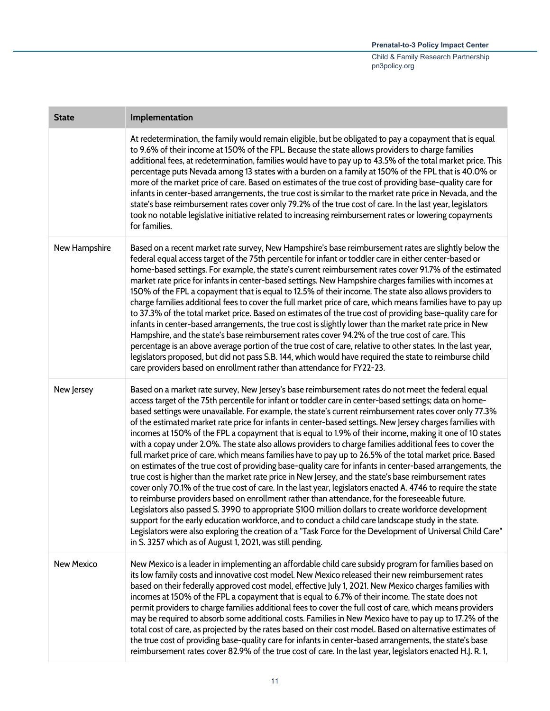| <b>State</b>      | Implementation                                                                                                                                                                                                                                                                                                                                                                                                                                                                                                                                                                                                                                                                                                                                                                                                                                                                                                                                                                                                                                                                                                                                                                                                                                                                                                                                                                                                                                                                                                                                                                                                 |
|-------------------|----------------------------------------------------------------------------------------------------------------------------------------------------------------------------------------------------------------------------------------------------------------------------------------------------------------------------------------------------------------------------------------------------------------------------------------------------------------------------------------------------------------------------------------------------------------------------------------------------------------------------------------------------------------------------------------------------------------------------------------------------------------------------------------------------------------------------------------------------------------------------------------------------------------------------------------------------------------------------------------------------------------------------------------------------------------------------------------------------------------------------------------------------------------------------------------------------------------------------------------------------------------------------------------------------------------------------------------------------------------------------------------------------------------------------------------------------------------------------------------------------------------------------------------------------------------------------------------------------------------|
|                   | At redetermination, the family would remain eligible, but be obligated to pay a copayment that is equal<br>to 9.6% of their income at 150% of the FPL. Because the state allows providers to charge families<br>additional fees, at redetermination, families would have to pay up to 43.5% of the total market price. This<br>percentage puts Nevada among 13 states with a burden on a family at 150% of the FPL that is 40.0% or<br>more of the market price of care. Based on estimates of the true cost of providing base-quality care for<br>infants in center-based arrangements, the true cost is similar to the market rate price in Nevada, and the<br>state's base reimbursement rates cover only 79.2% of the true cost of care. In the last year, legislators<br>took no notable legislative initiative related to increasing reimbursement rates or lowering copayments<br>for families.                                                                                                                                                                                                                                                                                                                                                                                                                                                                                                                                                                                                                                                                                                         |
| New Hampshire     | Based on a recent market rate survey, New Hampshire's base reimbursement rates are slightly below the<br>federal equal access target of the 75th percentile for infant or toddler care in either center-based or<br>home-based settings. For example, the state's current reimbursement rates cover 91.7% of the estimated<br>market rate price for infants in center-based settings. New Hampshire charges families with incomes at<br>150% of the FPL a copayment that is equal to 12.5% of their income. The state also allows providers to<br>charge families additional fees to cover the full market price of care, which means families have to pay up<br>to 37.3% of the total market price. Based on estimates of the true cost of providing base-quality care for<br>infants in center-based arrangements, the true cost is slightly lower than the market rate price in New<br>Hampshire, and the state's base reimbursement rates cover 94.2% of the true cost of care. This<br>percentage is an above average portion of the true cost of care, relative to other states. In the last year,<br>legislators proposed, but did not pass S.B. 144, which would have required the state to reimburse child<br>care providers based on enrollment rather than attendance for FY22-23.                                                                                                                                                                                                                                                                                                                  |
| New Jersey        | Based on a market rate survey, New Jersey's base reimbursement rates do not meet the federal equal<br>access target of the 75th percentile for infant or toddler care in center-based settings; data on home-<br>based settings were unavailable. For example, the state's current reimbursement rates cover only 77.3%<br>of the estimated market rate price for infants in center-based settings. New Jersey charges families with<br>incomes at 150% of the FPL a copayment that is equal to 1.9% of their income, making it one of 10 states<br>with a copay under 2.0%. The state also allows providers to charge families additional fees to cover the<br>full market price of care, which means families have to pay up to 26.5% of the total market price. Based<br>on estimates of the true cost of providing base-quality care for infants in center-based arrangements, the<br>true cost is higher than the market rate price in New Jersey, and the state's base reimbursement rates<br>cover only 70.1% of the true cost of care. In the last year, legislators enacted A. 4746 to require the state<br>to reimburse providers based on enrollment rather than attendance, for the foreseeable future.<br>Legislators also passed S. 3990 to appropriate \$100 million dollars to create workforce development<br>support for the early education workforce, and to conduct a child care landscape study in the state.<br>Legislators were also exploring the creation of a "Task Force for the Development of Universal Child Care"<br>in S. 3257 which as of August 1, 2021, was still pending. |
| <b>New Mexico</b> | New Mexico is a leader in implementing an affordable child care subsidy program for families based on<br>its low family costs and innovative cost model. New Mexico released their new reimbursement rates<br>based on their federally approved cost model, effective July 1, 2021. New Mexico charges families with<br>incomes at 150% of the FPL a copayment that is equal to 6.7% of their income. The state does not<br>permit providers to charge families additional fees to cover the full cost of care, which means providers<br>may be required to absorb some additional costs. Families in New Mexico have to pay up to 17.2% of the<br>total cost of care, as projected by the rates based on their cost model. Based on alternative estimates of<br>the true cost of providing base-quality care for infants in center-based arrangements, the state's base<br>reimbursement rates cover 82.9% of the true cost of care. In the last year, legislators enacted H.J. R. 1,                                                                                                                                                                                                                                                                                                                                                                                                                                                                                                                                                                                                                         |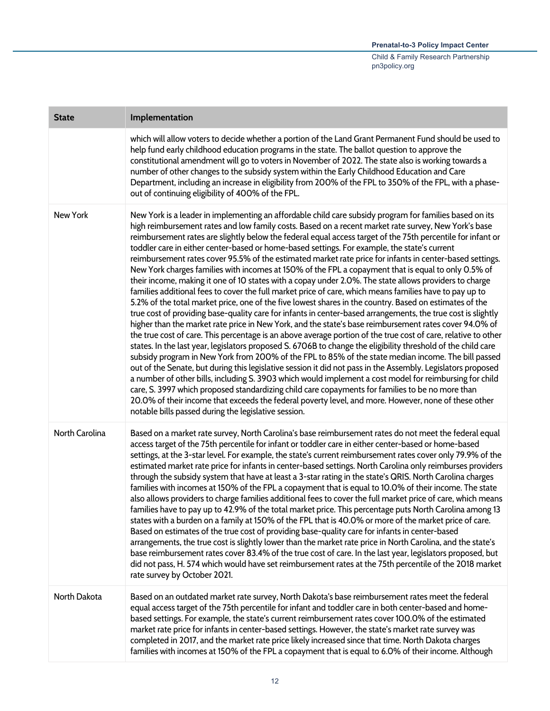| <b>State</b>    | Implementation                                                                                                                                                                                                                                                                                                                                                                                                                                                                                                                                                                                                                                                                                                                                                                                                                                                                                                                                                                                                                                                                                                                                                                                                                                                                                                                                                                                                                                                                                                                                                                                                                                                                                                                                                                                                                                                                                                                                                                                                                                       |
|-----------------|------------------------------------------------------------------------------------------------------------------------------------------------------------------------------------------------------------------------------------------------------------------------------------------------------------------------------------------------------------------------------------------------------------------------------------------------------------------------------------------------------------------------------------------------------------------------------------------------------------------------------------------------------------------------------------------------------------------------------------------------------------------------------------------------------------------------------------------------------------------------------------------------------------------------------------------------------------------------------------------------------------------------------------------------------------------------------------------------------------------------------------------------------------------------------------------------------------------------------------------------------------------------------------------------------------------------------------------------------------------------------------------------------------------------------------------------------------------------------------------------------------------------------------------------------------------------------------------------------------------------------------------------------------------------------------------------------------------------------------------------------------------------------------------------------------------------------------------------------------------------------------------------------------------------------------------------------------------------------------------------------------------------------------------------------|
|                 | which will allow voters to decide whether a portion of the Land Grant Permanent Fund should be used to<br>help fund early childhood education programs in the state. The ballot question to approve the<br>constitutional amendment will go to voters in November of 2022. The state also is working towards a<br>number of other changes to the subsidy system within the Early Childhood Education and Care<br>Department, including an increase in eligibility from 200% of the FPL to 350% of the FPL, with a phase-<br>out of continuing eligibility of 400% of the FPL.                                                                                                                                                                                                                                                                                                                                                                                                                                                                                                                                                                                                                                                                                                                                                                                                                                                                                                                                                                                                                                                                                                                                                                                                                                                                                                                                                                                                                                                                        |
| <b>New York</b> | New York is a leader in implementing an affordable child care subsidy program for families based on its<br>high reimbursement rates and low family costs. Based on a recent market rate survey, New York's base<br>reimbursement rates are slightly below the federal equal access target of the 75th percentile for infant or<br>toddler care in either center-based or home-based settings. For example, the state's current<br>reimbursement rates cover 95.5% of the estimated market rate price for infants in center-based settings.<br>New York charges families with incomes at 150% of the FPL a copayment that is equal to only 0.5% of<br>their income, making it one of 10 states with a copay under 2.0%. The state allows providers to charge<br>families additional fees to cover the full market price of care, which means families have to pay up to<br>5.2% of the total market price, one of the five lowest shares in the country. Based on estimates of the<br>true cost of providing base-quality care for infants in center-based arrangements, the true cost is slightly<br>higher than the market rate price in New York, and the state's base reimbursement rates cover 94.0% of<br>the true cost of care. This percentage is an above average portion of the true cost of care, relative to other<br>states. In the last year, legislators proposed S. 6706B to change the eligibility threshold of the child care<br>subsidy program in New York from 200% of the FPL to 85% of the state median income. The bill passed<br>out of the Senate, but during this legislative session it did not pass in the Assembly. Legislators proposed<br>a number of other bills, including S. 3903 which would implement a cost model for reimbursing for child<br>care, S. 3997 which proposed standardizing child care copayments for families to be no more than<br>20.0% of their income that exceeds the federal poverty level, and more. However, none of these other<br>notable bills passed during the legislative session. |
| North Carolina  | Based on a market rate survey, North Carolina's base reimbursement rates do not meet the federal equal<br>access target of the 75th percentile for infant or toddler care in either center-based or home-based<br>settings, at the 3-star level. For example, the state's current reimbursement rates cover only 79.9% of the<br>estimated market rate price for infants in center-based settings. North Carolina only reimburses providers<br>through the subsidy system that have at least a 3-star rating in the state's QRIS. North Carolina charges<br>families with incomes at 150% of the FPL a copayment that is equal to 10.0% of their income. The state<br>also allows providers to charge families additional fees to cover the full market price of care, which means<br>families have to pay up to 42.9% of the total market price. This percentage puts North Carolina among 13<br>states with a burden on a family at 150% of the FPL that is 40.0% or more of the market price of care.<br>Based on estimates of the true cost of providing base-quality care for infants in center-based<br>arrangements, the true cost is slightly lower than the market rate price in North Carolina, and the state's<br>base reimbursement rates cover 83.4% of the true cost of care. In the last year, legislators proposed, but<br>did not pass, H. 574 which would have set reimbursement rates at the 75th percentile of the 2018 market<br>rate survey by October 2021.                                                                                                                                                                                                                                                                                                                                                                                                                                                                                                                                                                   |
| North Dakota    | Based on an outdated market rate survey, North Dakota's base reimbursement rates meet the federal<br>equal access target of the 75th percentile for infant and toddler care in both center-based and home-<br>based settings. For example, the state's current reimbursement rates cover 100.0% of the estimated<br>market rate price for infants in center-based settings. However, the state's market rate survey was<br>completed in 2017, and the market rate price likely increased since that time. North Dakota charges<br>families with incomes at 150% of the FPL a copayment that is equal to 6.0% of their income. Although                                                                                                                                                                                                                                                                                                                                                                                                                                                                                                                                                                                                                                                                                                                                                                                                                                                                                                                                                                                                                                                                                                                                                                                                                                                                                                                                                                                                               |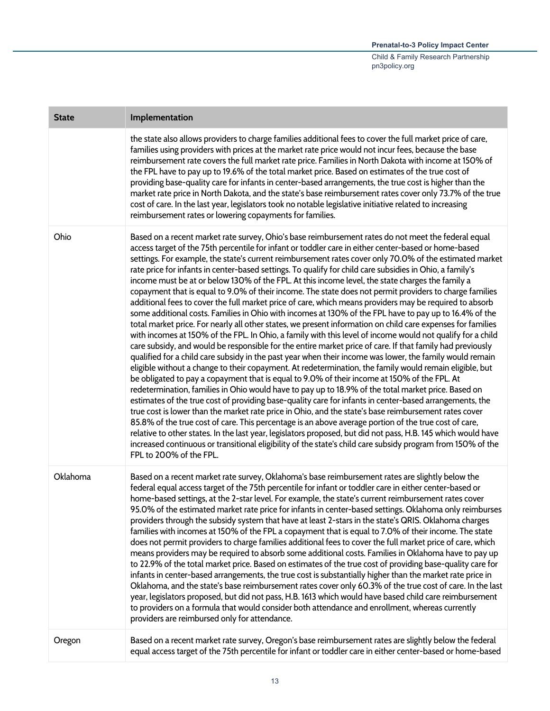| <b>State</b> | Implementation                                                                                                                                                                                                                                                                                                                                                                                                                                                                                                                                                                                                                                                                                                                                                                                                                                                                                                                                                                                                                                                                                                                                                                                                                                                                                                                                                                                                                                                                                                                                                                                                                                                                                                                                                                                                                                                                                                                                                                                                                                                                                                                                                                                                                         |
|--------------|----------------------------------------------------------------------------------------------------------------------------------------------------------------------------------------------------------------------------------------------------------------------------------------------------------------------------------------------------------------------------------------------------------------------------------------------------------------------------------------------------------------------------------------------------------------------------------------------------------------------------------------------------------------------------------------------------------------------------------------------------------------------------------------------------------------------------------------------------------------------------------------------------------------------------------------------------------------------------------------------------------------------------------------------------------------------------------------------------------------------------------------------------------------------------------------------------------------------------------------------------------------------------------------------------------------------------------------------------------------------------------------------------------------------------------------------------------------------------------------------------------------------------------------------------------------------------------------------------------------------------------------------------------------------------------------------------------------------------------------------------------------------------------------------------------------------------------------------------------------------------------------------------------------------------------------------------------------------------------------------------------------------------------------------------------------------------------------------------------------------------------------------------------------------------------------------------------------------------------------|
|              | the state also allows providers to charge families additional fees to cover the full market price of care,<br>families using providers with prices at the market rate price would not incur fees, because the base<br>reimbursement rate covers the full market rate price. Families in North Dakota with income at 150% of<br>the FPL have to pay up to 19.6% of the total market price. Based on estimates of the true cost of<br>providing base-quality care for infants in center-based arrangements, the true cost is higher than the<br>market rate price in North Dakota, and the state's base reimbursement rates cover only 73.7% of the true<br>cost of care. In the last year, legislators took no notable legislative initiative related to increasing<br>reimbursement rates or lowering copayments for families.                                                                                                                                                                                                                                                                                                                                                                                                                                                                                                                                                                                                                                                                                                                                                                                                                                                                                                                                                                                                                                                                                                                                                                                                                                                                                                                                                                                                         |
| Ohio         | Based on a recent market rate survey, Ohio's base reimbursement rates do not meet the federal equal<br>access target of the 75th percentile for infant or toddler care in either center-based or home-based<br>settings. For example, the state's current reimbursement rates cover only 70.0% of the estimated market<br>rate price for infants in center-based settings. To qualify for child care subsidies in Ohio, a family's<br>income must be at or below 130% of the FPL. At this income level, the state charges the family a<br>copayment that is equal to 9.0% of their income. The state does not permit providers to charge families<br>additional fees to cover the full market price of care, which means providers may be required to absorb<br>some additional costs. Families in Ohio with incomes at 130% of the FPL have to pay up to 16.4% of the<br>total market price. For nearly all other states, we present information on child care expenses for families<br>with incomes at 150% of the FPL. In Ohio, a family with this level of income would not qualify for a child<br>care subsidy, and would be responsible for the entire market price of care. If that family had previously<br>qualified for a child care subsidy in the past year when their income was lower, the family would remain<br>eligible without a change to their copayment. At redetermination, the family would remain eligible, but<br>be obligated to pay a copayment that is equal to 9.0% of their income at 150% of the FPL. At<br>redetermination, families in Ohio would have to pay up to 18.9% of the total market price. Based on<br>estimates of the true cost of providing base-quality care for infants in center-based arrangements, the<br>true cost is lower than the market rate price in Ohio, and the state's base reimbursement rates cover<br>85.8% of the true cost of care. This percentage is an above average portion of the true cost of care,<br>relative to other states. In the last year, legislators proposed, but did not pass, H.B. 145 which would have<br>increased continuous or transitional eligibility of the state's child care subsidy program from 150% of the<br>FPL to 200% of the FPL. |
| Oklahoma     | Based on a recent market rate survey, Oklahoma's base reimbursement rates are slightly below the<br>federal equal access target of the 75th percentile for infant or toddler care in either center-based or<br>home-based settings, at the 2-star level. For example, the state's current reimbursement rates cover<br>95.0% of the estimated market rate price for infants in center-based settings. Oklahoma only reimburses<br>providers through the subsidy system that have at least 2-stars in the state's QRIS. Oklahoma charges<br>families with incomes at 150% of the FPL a copayment that is equal to 7.0% of their income. The state<br>does not permit providers to charge families additional fees to cover the full market price of care, which<br>means providers may be required to absorb some additional costs. Families in Oklahoma have to pay up<br>to 22.9% of the total market price. Based on estimates of the true cost of providing base-quality care for<br>infants in center-based arrangements, the true cost is substantially higher than the market rate price in<br>Oklahoma, and the state's base reimbursement rates cover only 60.3% of the true cost of care. In the last<br>year, legislators proposed, but did not pass, H.B. 1613 which would have based child care reimbursement<br>to providers on a formula that would consider both attendance and enrollment, whereas currently<br>providers are reimbursed only for attendance.                                                                                                                                                                                                                                                                                                                                                                                                                                                                                                                                                                                                                                                                                                                                                          |
| Oregon       | Based on a recent market rate survey, Oregon's base reimbursement rates are slightly below the federal<br>equal access target of the 75th percentile for infant or toddler care in either center-based or home-based                                                                                                                                                                                                                                                                                                                                                                                                                                                                                                                                                                                                                                                                                                                                                                                                                                                                                                                                                                                                                                                                                                                                                                                                                                                                                                                                                                                                                                                                                                                                                                                                                                                                                                                                                                                                                                                                                                                                                                                                                   |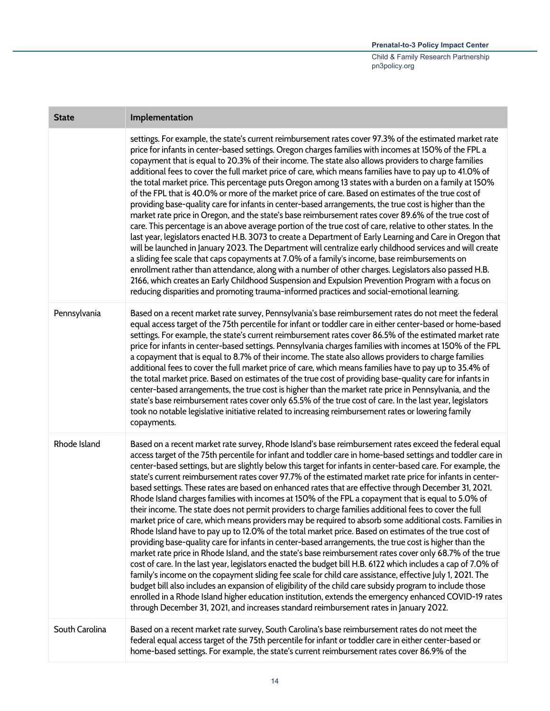| <b>State</b>   | Implementation                                                                                                                                                                                                                                                                                                                                                                                                                                                                                                                                                                                                                                                                                                                                                                                                                                                                                                                                                                                                                                                                                                                                                                                                                                                                                                                                                                                                                                                                                                                                                                                                                                                                                                                                                        |
|----------------|-----------------------------------------------------------------------------------------------------------------------------------------------------------------------------------------------------------------------------------------------------------------------------------------------------------------------------------------------------------------------------------------------------------------------------------------------------------------------------------------------------------------------------------------------------------------------------------------------------------------------------------------------------------------------------------------------------------------------------------------------------------------------------------------------------------------------------------------------------------------------------------------------------------------------------------------------------------------------------------------------------------------------------------------------------------------------------------------------------------------------------------------------------------------------------------------------------------------------------------------------------------------------------------------------------------------------------------------------------------------------------------------------------------------------------------------------------------------------------------------------------------------------------------------------------------------------------------------------------------------------------------------------------------------------------------------------------------------------------------------------------------------------|
|                | settings. For example, the state's current reimbursement rates cover 97.3% of the estimated market rate<br>price for infants in center-based settings. Oregon charges families with incomes at 150% of the FPL a<br>copayment that is equal to 20.3% of their income. The state also allows providers to charge families<br>additional fees to cover the full market price of care, which means families have to pay up to 41.0% of<br>the total market price. This percentage puts Oregon among 13 states with a burden on a family at 150%<br>of the FPL that is 40.0% or more of the market price of care. Based on estimates of the true cost of<br>providing base-quality care for infants in center-based arrangements, the true cost is higher than the<br>market rate price in Oregon, and the state's base reimbursement rates cover 89.6% of the true cost of<br>care. This percentage is an above average portion of the true cost of care, relative to other states. In the<br>last year, legislators enacted H.B. 3073 to create a Department of Early Learning and Care in Oregon that<br>will be launched in January 2023. The Department will centralize early childhood services and will create<br>a sliding fee scale that caps copayments at 7.0% of a family's income, base reimbursements on<br>enrollment rather than attendance, along with a number of other charges. Legislators also passed H.B.<br>2166, which creates an Early Childhood Suspension and Expulsion Prevention Program with a focus on<br>reducing disparities and promoting trauma-informed practices and social-emotional learning.                                                                                                                                      |
| Pennsylvania   | Based on a recent market rate survey, Pennsylvania's base reimbursement rates do not meet the federal<br>equal access target of the 75th percentile for infant or toddler care in either center-based or home-based<br>settings. For example, the state's current reimbursement rates cover 86.5% of the estimated market rate<br>price for infants in center-based settings. Pennsylvania charges families with incomes at 150% of the FPL<br>a copayment that is equal to 8.7% of their income. The state also allows providers to charge families<br>additional fees to cover the full market price of care, which means families have to pay up to 35.4% of<br>the total market price. Based on estimates of the true cost of providing base-quality care for infants in<br>center-based arrangements, the true cost is higher than the market rate price in Pennsylvania, and the<br>state's base reimbursement rates cover only 65.5% of the true cost of care. In the last year, legislators<br>took no notable legislative initiative related to increasing reimbursement rates or lowering family<br>copayments.                                                                                                                                                                                                                                                                                                                                                                                                                                                                                                                                                                                                                                             |
| Rhode Island   | Based on a recent market rate survey, Rhode Island's base reimbursement rates exceed the federal equal<br>access target of the 75th percentile for infant and toddler care in home-based settings and toddler care in<br>center-based settings, but are slightly below this target for infants in center-based care. For example, the<br>state's current reimbursement rates cover 97.7% of the estimated market rate price for infants in center-<br>based settings. These rates are based on enhanced rates that are effective through December 31, 2021.<br>Rhode Island charges families with incomes at 150% of the FPL a copayment that is equal to 5.0% of<br>their income. The state does not permit providers to charge families additional fees to cover the full<br>market price of care, which means providers may be required to absorb some additional costs. Families in<br>Rhode Island have to pay up to 12.0% of the total market price. Based on estimates of the true cost of<br>providing base-quality care for infants in center-based arrangements, the true cost is higher than the<br>market rate price in Rhode Island, and the state's base reimbursement rates cover only 68.7% of the true<br>cost of care. In the last year, legislators enacted the budget bill H.B. 6122 which includes a cap of 7.0% of<br>family's income on the copayment sliding fee scale for child care assistance, effective July 1, 2021. The<br>budget bill also includes an expansion of eligibility of the child care subsidy program to include those<br>enrolled in a Rhode Island higher education institution, extends the emergency enhanced COVID-19 rates<br>through December 31, 2021, and increases standard reimbursement rates in January 2022. |
| South Carolina | Based on a recent market rate survey, South Carolina's base reimbursement rates do not meet the<br>federal equal access target of the 75th percentile for infant or toddler care in either center-based or<br>home-based settings. For example, the state's current reimbursement rates cover 86.9% of the                                                                                                                                                                                                                                                                                                                                                                                                                                                                                                                                                                                                                                                                                                                                                                                                                                                                                                                                                                                                                                                                                                                                                                                                                                                                                                                                                                                                                                                            |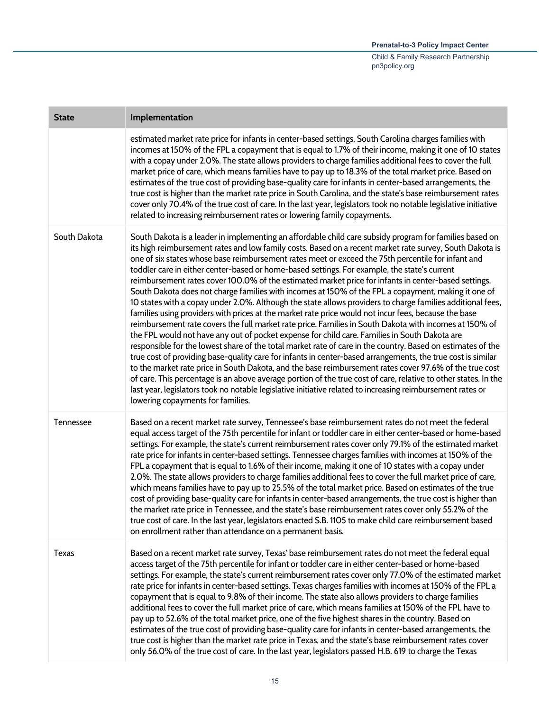| <b>State</b> | Implementation                                                                                                                                                                                                                                                                                                                                                                                                                                                                                                                                                                                                                                                                                                                                                                                                                                                                                                                                                                                                                                                                                                                                                                                                                                                                                                                                                                                                                                                                                                                                                                                                                                                                           |
|--------------|------------------------------------------------------------------------------------------------------------------------------------------------------------------------------------------------------------------------------------------------------------------------------------------------------------------------------------------------------------------------------------------------------------------------------------------------------------------------------------------------------------------------------------------------------------------------------------------------------------------------------------------------------------------------------------------------------------------------------------------------------------------------------------------------------------------------------------------------------------------------------------------------------------------------------------------------------------------------------------------------------------------------------------------------------------------------------------------------------------------------------------------------------------------------------------------------------------------------------------------------------------------------------------------------------------------------------------------------------------------------------------------------------------------------------------------------------------------------------------------------------------------------------------------------------------------------------------------------------------------------------------------------------------------------------------------|
|              | estimated market rate price for infants in center-based settings. South Carolina charges families with<br>incomes at 150% of the FPL a copayment that is equal to 1.7% of their income, making it one of 10 states<br>with a copay under 2.0%. The state allows providers to charge families additional fees to cover the full<br>market price of care, which means families have to pay up to 18.3% of the total market price. Based on<br>estimates of the true cost of providing base-quality care for infants in center-based arrangements, the<br>true cost is higher than the market rate price in South Carolina, and the state's base reimbursement rates<br>cover only 70.4% of the true cost of care. In the last year, legislators took no notable legislative initiative<br>related to increasing reimbursement rates or lowering family copayments.                                                                                                                                                                                                                                                                                                                                                                                                                                                                                                                                                                                                                                                                                                                                                                                                                         |
| South Dakota | South Dakota is a leader in implementing an affordable child care subsidy program for families based on<br>its high reimbursement rates and low family costs. Based on a recent market rate survey, South Dakota is<br>one of six states whose base reimbursement rates meet or exceed the 75th percentile for infant and<br>toddler care in either center-based or home-based settings. For example, the state's current<br>reimbursement rates cover 100.0% of the estimated market price for infants in center-based settings.<br>South Dakota does not charge families with incomes at 150% of the FPL a copayment, making it one of<br>10 states with a copay under 2.0%. Although the state allows providers to charge families additional fees,<br>families using providers with prices at the market rate price would not incur fees, because the base<br>reimbursement rate covers the full market rate price. Families in South Dakota with incomes at 150% of<br>the FPL would not have any out of pocket expense for child care. Families in South Dakota are<br>responsible for the lowest share of the total market rate of care in the country. Based on estimates of the<br>true cost of providing base-quality care for infants in center-based arrangements, the true cost is similar<br>to the market rate price in South Dakota, and the base reimbursement rates cover 97.6% of the true cost<br>of care. This percentage is an above average portion of the true cost of care, relative to other states. In the<br>last year, legislators took no notable legislative initiative related to increasing reimbursement rates or<br>lowering copayments for families. |
| Tennessee    | Based on a recent market rate survey, Tennessee's base reimbursement rates do not meet the federal<br>equal access target of the 75th percentile for infant or toddler care in either center-based or home-based<br>settings. For example, the state's current reimbursement rates cover only 79.1% of the estimated market<br>rate price for infants in center-based settings. Tennessee charges families with incomes at 150% of the<br>FPL a copayment that is equal to 1.6% of their income, making it one of 10 states with a copay under<br>2.0%. The state allows providers to charge families additional fees to cover the full market price of care,<br>which means families have to pay up to 25.5% of the total market price. Based on estimates of the true<br>cost of providing base-quality care for infants in center-based arrangements, the true cost is higher than<br>the market rate price in Tennessee, and the state's base reimbursement rates cover only 55.2% of the<br>true cost of care. In the last year, legislators enacted S.B. 1105 to make child care reimbursement based<br>on enrollment rather than attendance on a permanent basis.                                                                                                                                                                                                                                                                                                                                                                                                                                                                                                                 |
| <b>Texas</b> | Based on a recent market rate survey, Texas' base reimbursement rates do not meet the federal equal<br>access target of the 75th percentile for infant or toddler care in either center-based or home-based<br>settings. For example, the state's current reimbursement rates cover only 77.0% of the estimated market<br>rate price for infants in center-based settings. Texas charges families with incomes at 150% of the FPL a<br>copayment that is equal to 9.8% of their income. The state also allows providers to charge families<br>additional fees to cover the full market price of care, which means families at 150% of the FPL have to<br>pay up to 52.6% of the total market price, one of the five highest shares in the country. Based on<br>estimates of the true cost of providing base-quality care for infants in center-based arrangements, the<br>true cost is higher than the market rate price in Texas, and the state's base reimbursement rates cover<br>only 56.0% of the true cost of care. In the last year, legislators passed H.B. 619 to charge the Texas                                                                                                                                                                                                                                                                                                                                                                                                                                                                                                                                                                                              |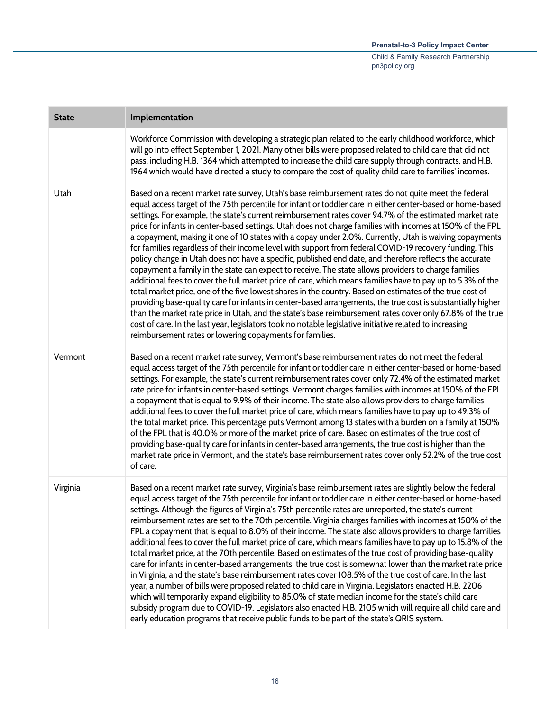| <b>State</b> | Implementation                                                                                                                                                                                                                                                                                                                                                                                                                                                                                                                                                                                                                                                                                                                                                                                                                                                                                                                                                                                                                                                                                                                                                                                                                                                                                                                                                                                                                                                                                                  |
|--------------|-----------------------------------------------------------------------------------------------------------------------------------------------------------------------------------------------------------------------------------------------------------------------------------------------------------------------------------------------------------------------------------------------------------------------------------------------------------------------------------------------------------------------------------------------------------------------------------------------------------------------------------------------------------------------------------------------------------------------------------------------------------------------------------------------------------------------------------------------------------------------------------------------------------------------------------------------------------------------------------------------------------------------------------------------------------------------------------------------------------------------------------------------------------------------------------------------------------------------------------------------------------------------------------------------------------------------------------------------------------------------------------------------------------------------------------------------------------------------------------------------------------------|
|              | Workforce Commission with developing a strategic plan related to the early childhood workforce, which<br>will go into effect September 1, 2021. Many other bills were proposed related to child care that did not<br>pass, including H.B. 1364 which attempted to increase the child care supply through contracts, and H.B.<br>1964 which would have directed a study to compare the cost of quality child care to families' incomes.                                                                                                                                                                                                                                                                                                                                                                                                                                                                                                                                                                                                                                                                                                                                                                                                                                                                                                                                                                                                                                                                          |
| Utah         | Based on a recent market rate survey, Utah's base reimbursement rates do not quite meet the federal<br>equal access target of the 75th percentile for infant or toddler care in either center-based or home-based<br>settings. For example, the state's current reimbursement rates cover 94.7% of the estimated market rate<br>price for infants in center-based settings. Utah does not charge families with incomes at 150% of the FPL<br>a copayment, making it one of 10 states with a copay under 2.0%. Currently, Utah is waiving copayments<br>for families regardless of their income level with support from federal COVID-19 recovery funding. This<br>policy change in Utah does not have a specific, published end date, and therefore reflects the accurate<br>copayment a family in the state can expect to receive. The state allows providers to charge families<br>additional fees to cover the full market price of care, which means families have to pay up to 5.3% of the<br>total market price, one of the five lowest shares in the country. Based on estimates of the true cost of<br>providing base-quality care for infants in center-based arrangements, the true cost is substantially higher<br>than the market rate price in Utah, and the state's base reimbursement rates cover only 67.8% of the true<br>cost of care. In the last year, legislators took no notable legislative initiative related to increasing<br>reimbursement rates or lowering copayments for families. |
| Vermont      | Based on a recent market rate survey, Vermont's base reimbursement rates do not meet the federal<br>equal access target of the 75th percentile for infant or toddler care in either center-based or home-based<br>settings. For example, the state's current reimbursement rates cover only 72.4% of the estimated market<br>rate price for infants in center-based settings. Vermont charges families with incomes at 150% of the FPL<br>a copayment that is equal to 9.9% of their income. The state also allows providers to charge families<br>additional fees to cover the full market price of care, which means families have to pay up to 49.3% of<br>the total market price. This percentage puts Vermont among 13 states with a burden on a family at 150%<br>of the FPL that is 40.0% or more of the market price of care. Based on estimates of the true cost of<br>providing base-quality care for infants in center-based arrangements, the true cost is higher than the<br>market rate price in Vermont, and the state's base reimbursement rates cover only 52.2% of the true cost<br>of care.                                                                                                                                                                                                                                                                                                                                                                                                  |
| Virginia     | Based on a recent market rate survey, Virginia's base reimbursement rates are slightly below the federal<br>equal access target of the 75th percentile for infant or toddler care in either center-based or home-based<br>settings. Although the figures of Virginia's 75th percentile rates are unreported, the state's current<br>reimbursement rates are set to the 70th percentile. Virginia charges families with incomes at 150% of the<br>FPL a copayment that is equal to 8.0% of their income. The state also allows providers to charge families<br>additional fees to cover the full market price of care, which means families have to pay up to 15.8% of the<br>total market price, at the 70th percentile. Based on estimates of the true cost of providing base-quality<br>care for infants in center-based arrangements, the true cost is somewhat lower than the market rate price<br>in Virginia, and the state's base reimbursement rates cover 108.5% of the true cost of care. In the last<br>year, a number of bills were proposed related to child care in Virginia. Legislators enacted H.B. 2206<br>which will temporarily expand eligibility to 85.0% of state median income for the state's child care<br>subsidy program due to COVID-19. Legislators also enacted H.B. 2105 which will require all child care and<br>early education programs that receive public funds to be part of the state's QRIS system.                                                                     |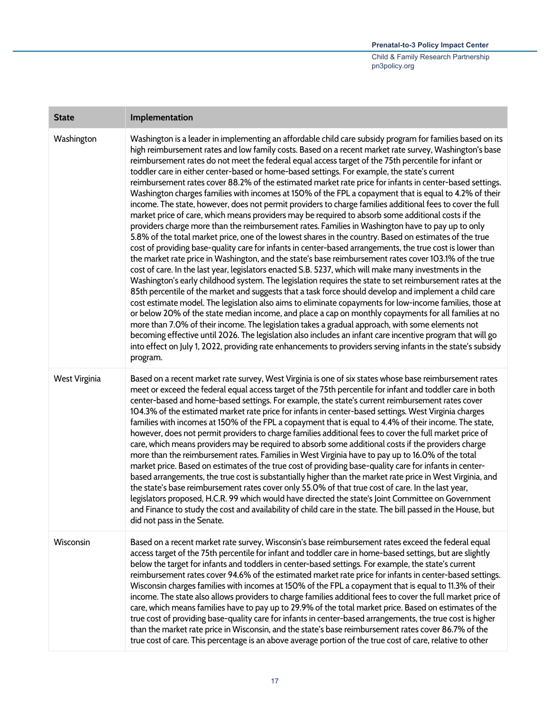## **Prenatal-to-3 Policy Impact Center**  Child & Family Research Partnership pn3policy.org

| <b>State</b>  | Implementation                                                                                                                                                                                                                                                                                                                                                                                                                                                                                                                                                                                                                                                                                                                                                                                                                                                                                                                                                                                                                                                                                                                                                                                                                                                                                                                                                                                                                                                                                                                                                                                                                                                                                                                                                                                                                                                                                                                                                                                                                                                                                                                                                                                                   |
|---------------|------------------------------------------------------------------------------------------------------------------------------------------------------------------------------------------------------------------------------------------------------------------------------------------------------------------------------------------------------------------------------------------------------------------------------------------------------------------------------------------------------------------------------------------------------------------------------------------------------------------------------------------------------------------------------------------------------------------------------------------------------------------------------------------------------------------------------------------------------------------------------------------------------------------------------------------------------------------------------------------------------------------------------------------------------------------------------------------------------------------------------------------------------------------------------------------------------------------------------------------------------------------------------------------------------------------------------------------------------------------------------------------------------------------------------------------------------------------------------------------------------------------------------------------------------------------------------------------------------------------------------------------------------------------------------------------------------------------------------------------------------------------------------------------------------------------------------------------------------------------------------------------------------------------------------------------------------------------------------------------------------------------------------------------------------------------------------------------------------------------------------------------------------------------------------------------------------------------|
| Washington    | Washington is a leader in implementing an affordable child care subsidy program for families based on its<br>high reimbursement rates and low family costs. Based on a recent market rate survey, Washington's base<br>reimbursement rates do not meet the federal equal access target of the 75th percentile for infant or<br>toddler care in either center-based or home-based settings. For example, the state's current<br>reimbursement rates cover 88.2% of the estimated market rate price for infants in center-based settings.<br>Washington charges families with incomes at 150% of the FPL a copayment that is equal to 4.2% of their<br>income. The state, however, does not permit providers to charge families additional fees to cover the full<br>market price of care, which means providers may be required to absorb some additional costs if the<br>providers charge more than the reimbursement rates. Families in Washington have to pay up to only<br>5.8% of the total market price, one of the lowest shares in the country. Based on estimates of the true<br>cost of providing base-quality care for infants in center-based arrangements, the true cost is lower than<br>the market rate price in Washington, and the state's base reimbursement rates cover 103.1% of the true<br>cost of care. In the last year, legislators enacted S.B. 5237, which will make many investments in the<br>Washington's early childhood system. The legislation requires the state to set reimbursement rates at the<br>85th percentile of the market and suggests that a task force should develop and implement a child care<br>cost estimate model. The legislation also aims to eliminate copayments for low-income families, those at<br>or below 20% of the state median income, and place a cap on monthly copayments for all families at no<br>more than 7.0% of their income. The legislation takes a gradual approach, with some elements not<br>becoming effective until 2026. The legislation also includes an infant care incentive program that will go<br>into effect on July 1, 2022, providing rate enhancements to providers serving infants in the state's subsidy<br>program. |
| West Virginia | Based on a recent market rate survey, West Virginia is one of six states whose base reimbursement rates<br>meet or exceed the federal equal access target of the 75th percentile for infant and toddler care in both<br>center-based and home-based settings. For example, the state's current reimbursement rates cover<br>104.3% of the estimated market rate price for infants in center-based settings. West Virginia charges<br>families with incomes at 150% of the FPL a copayment that is equal to 4.4% of their income. The state,<br>however, does not permit providers to charge families additional fees to cover the full market price of<br>care, which means providers may be required to absorb some additional costs if the providers charge<br>more than the reimbursement rates. Families in West Virginia have to pay up to 16.0% of the total<br>market price. Based on estimates of the true cost of providing base-quality care for infants in center-<br>based arrangements, the true cost is substantially higher than the market rate price in West Virginia, and<br>the state's base reimbursement rates cover only 55.0% of that true cost of care. In the last year,<br>legislators proposed, H.C.R. 99 which would have directed the state's Joint Committee on Government<br>and Finance to study the cost and availability of child care in the state. The bill passed in the House, but<br>did not pass in the Senate.                                                                                                                                                                                                                                                                                                                                                                                                                                                                                                                                                                                                                                                                                                                                                          |
| Wisconsin     | Based on a recent market rate survey, Wisconsin's base reimbursement rates exceed the federal equal<br>access target of the 75th percentile for infant and toddler care in home-based settings, but are slightly<br>below the target for infants and toddlers in center-based settings. For example, the state's current<br>reimbursement rates cover 94.6% of the estimated market rate price for infants in center-based settings.<br>Wisconsin charges families with incomes at 150% of the FPL a copayment that is equal to 11.3% of their<br>income. The state also allows providers to charge families additional fees to cover the full market price of<br>care, which means families have to pay up to 29.9% of the total market price. Based on estimates of the<br>true cost of providing base-quality care for infants in center-based arrangements, the true cost is higher<br>than the market rate price in Wisconsin, and the state's base reimbursement rates cover 86.7% of the<br>true cost of care. This percentage is an above average portion of the true cost of care, relative to other                                                                                                                                                                                                                                                                                                                                                                                                                                                                                                                                                                                                                                                                                                                                                                                                                                                                                                                                                                                                                                                                                                    |